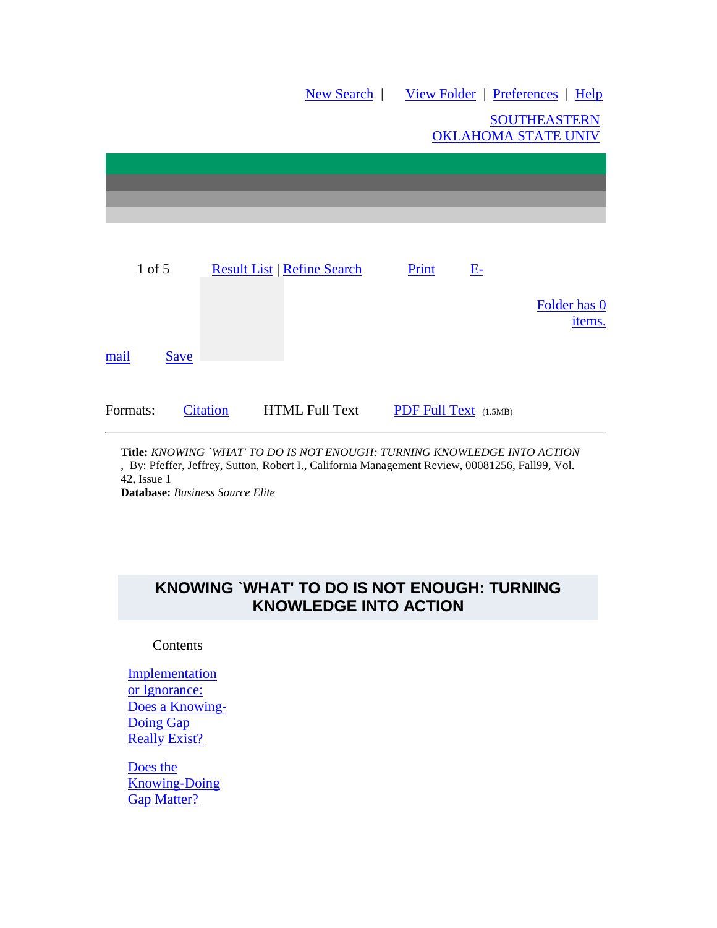|              |                                    | New Search            |                       |           | View Folder   Preferences   Help                  |
|--------------|------------------------------------|-----------------------|-----------------------|-----------|---------------------------------------------------|
|              |                                    |                       |                       |           | <b>SOUTHEASTERN</b><br><b>OKLAHOMA STATE UNIV</b> |
|              |                                    |                       |                       |           |                                                   |
|              |                                    |                       |                       |           |                                                   |
|              |                                    |                       |                       |           |                                                   |
| $1$ of $5$   | <b>Result List   Refine Search</b> |                       | Print                 | <u>E-</u> |                                                   |
| Save<br>mail |                                    |                       |                       |           | Folder has 0<br>items.                            |
|              |                                    |                       |                       |           |                                                   |
| Formats:     | <b>Citation</b>                    | <b>HTML Full Text</b> | PDF Full Text (1.5MB) |           |                                                   |

**Title:** *KNOWING `WHAT' TO DO IS NOT ENOUGH: TURNING KNOWLEDGE INTO ACTION*  , By: Pfeffer, Jeffrey, Sutton, Robert I., California Management Review, 00081256, Fall99, Vol. 42, Issue 1

**Database:** *Business Source Elite*

## **KNOWING `WHAT' TO DO IS NOT ENOUGH: TURNING KNOWLEDGE INTO ACTION**

**Contents** 

**Implementation** [or Ignorance:](http://164.58.125.64:2104/citation.asp?tb=1&_ug=dbs+0%2C3+ln+en%2Dus+sid+45FDCFBA%2D3B2D%2D4042%2D9690%2D662CE98758D4%40sessionmgr5+C672&_us=bs+Pfeffer+ds+Pfeffer+dstb+KS+gl+%5Fs%5F0+hd+0+hs+0+or+Date+ri+KAAACBVC00235009+sm+KS+so+b+ss+SO+5F54&cf=1&fn=1&rn=1#AN0002537788-2#AN0002537788-2)  [Does a Knowing-](http://164.58.125.64:2104/citation.asp?tb=1&_ug=dbs+0%2C3+ln+en%2Dus+sid+45FDCFBA%2D3B2D%2D4042%2D9690%2D662CE98758D4%40sessionmgr5+C672&_us=bs+Pfeffer+ds+Pfeffer+dstb+KS+gl+%5Fs%5F0+hd+0+hs+0+or+Date+ri+KAAACBVC00235009+sm+KS+so+b+ss+SO+5F54&cf=1&fn=1&rn=1#AN0002537788-2#AN0002537788-2)[Doing Gap](http://164.58.125.64:2104/citation.asp?tb=1&_ug=dbs+0%2C3+ln+en%2Dus+sid+45FDCFBA%2D3B2D%2D4042%2D9690%2D662CE98758D4%40sessionmgr5+C672&_us=bs+Pfeffer+ds+Pfeffer+dstb+KS+gl+%5Fs%5F0+hd+0+hs+0+or+Date+ri+KAAACBVC00235009+sm+KS+so+b+ss+SO+5F54&cf=1&fn=1&rn=1#AN0002537788-2#AN0002537788-2)  **Really Exist?** 

Does the [Knowing-Doing](http://164.58.125.64:2104/citation.asp?tb=1&_ug=dbs+0%2C3+ln+en%2Dus+sid+45FDCFBA%2D3B2D%2D4042%2D9690%2D662CE98758D4%40sessionmgr5+C672&_us=bs+Pfeffer+ds+Pfeffer+dstb+KS+gl+%5Fs%5F0+hd+0+hs+0+or+Date+ri+KAAACBVC00235009+sm+KS+so+b+ss+SO+5F54&cf=1&fn=1&rn=1#AN0002537788-3#AN0002537788-3)  [Gap Matter?](http://164.58.125.64:2104/citation.asp?tb=1&_ug=dbs+0%2C3+ln+en%2Dus+sid+45FDCFBA%2D3B2D%2D4042%2D9690%2D662CE98758D4%40sessionmgr5+C672&_us=bs+Pfeffer+ds+Pfeffer+dstb+KS+gl+%5Fs%5F0+hd+0+hs+0+or+Date+ri+KAAACBVC00235009+sm+KS+so+b+ss+SO+5F54&cf=1&fn=1&rn=1#AN0002537788-3#AN0002537788-3)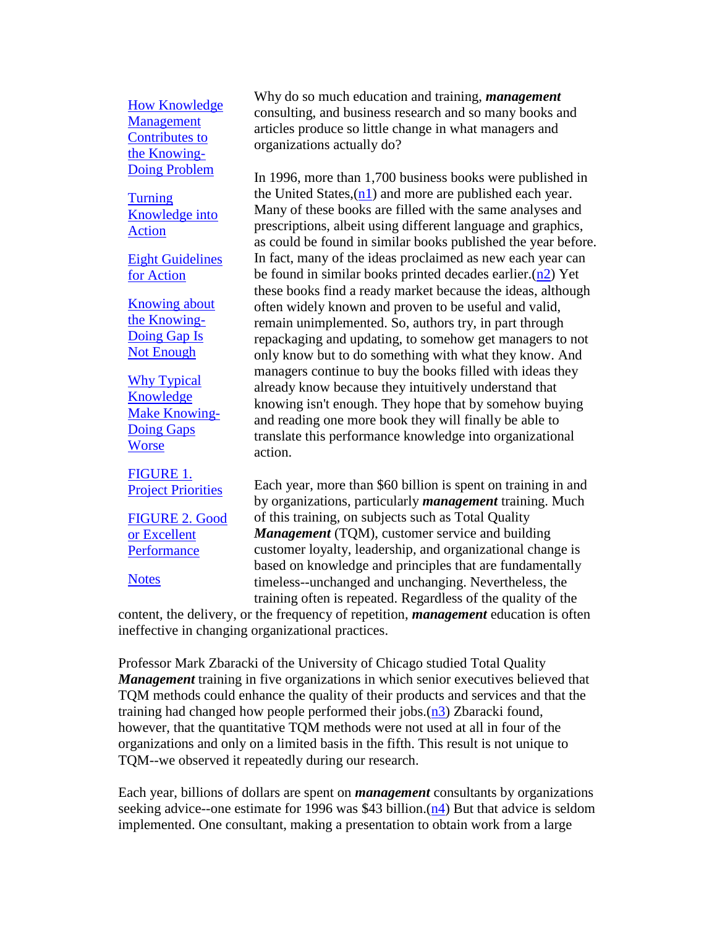[How Knowledge](http://164.58.125.64:2104/citation.asp?tb=1&_ug=dbs+0%2C3+ln+en%2Dus+sid+45FDCFBA%2D3B2D%2D4042%2D9690%2D662CE98758D4%40sessionmgr5+C672&_us=bs+Pfeffer+ds+Pfeffer+dstb+KS+gl+%5Fs%5F0+hd+0+hs+0+or+Date+ri+KAAACBVC00235009+sm+KS+so+b+ss+SO+5F54&cf=1&fn=1&rn=1#AN0002537788-4#AN0002537788-4)  [Management](http://164.58.125.64:2104/citation.asp?tb=1&_ug=dbs+0%2C3+ln+en%2Dus+sid+45FDCFBA%2D3B2D%2D4042%2D9690%2D662CE98758D4%40sessionmgr5+C672&_us=bs+Pfeffer+ds+Pfeffer+dstb+KS+gl+%5Fs%5F0+hd+0+hs+0+or+Date+ri+KAAACBVC00235009+sm+KS+so+b+ss+SO+5F54&cf=1&fn=1&rn=1#AN0002537788-4#AN0002537788-4)  [Contributes to](http://164.58.125.64:2104/citation.asp?tb=1&_ug=dbs+0%2C3+ln+en%2Dus+sid+45FDCFBA%2D3B2D%2D4042%2D9690%2D662CE98758D4%40sessionmgr5+C672&_us=bs+Pfeffer+ds+Pfeffer+dstb+KS+gl+%5Fs%5F0+hd+0+hs+0+or+Date+ri+KAAACBVC00235009+sm+KS+so+b+ss+SO+5F54&cf=1&fn=1&rn=1#AN0002537788-4#AN0002537788-4)  [the Knowing-](http://164.58.125.64:2104/citation.asp?tb=1&_ug=dbs+0%2C3+ln+en%2Dus+sid+45FDCFBA%2D3B2D%2D4042%2D9690%2D662CE98758D4%40sessionmgr5+C672&_us=bs+Pfeffer+ds+Pfeffer+dstb+KS+gl+%5Fs%5F0+hd+0+hs+0+or+Date+ri+KAAACBVC00235009+sm+KS+so+b+ss+SO+5F54&cf=1&fn=1&rn=1#AN0002537788-4#AN0002537788-4)[Doing Problem](http://164.58.125.64:2104/citation.asp?tb=1&_ug=dbs+0%2C3+ln+en%2Dus+sid+45FDCFBA%2D3B2D%2D4042%2D9690%2D662CE98758D4%40sessionmgr5+C672&_us=bs+Pfeffer+ds+Pfeffer+dstb+KS+gl+%5Fs%5F0+hd+0+hs+0+or+Date+ri+KAAACBVC00235009+sm+KS+so+b+ss+SO+5F54&cf=1&fn=1&rn=1#AN0002537788-4#AN0002537788-4) 

[Turning](http://164.58.125.64:2104/citation.asp?tb=1&_ug=dbs+0%2C3+ln+en%2Dus+sid+45FDCFBA%2D3B2D%2D4042%2D9690%2D662CE98758D4%40sessionmgr5+C672&_us=bs+Pfeffer+ds+Pfeffer+dstb+KS+gl+%5Fs%5F0+hd+0+hs+0+or+Date+ri+KAAACBVC00235009+sm+KS+so+b+ss+SO+5F54&cf=1&fn=1&rn=1#AN0002537788-5#AN0002537788-5)  [Knowledge into](http://164.58.125.64:2104/citation.asp?tb=1&_ug=dbs+0%2C3+ln+en%2Dus+sid+45FDCFBA%2D3B2D%2D4042%2D9690%2D662CE98758D4%40sessionmgr5+C672&_us=bs+Pfeffer+ds+Pfeffer+dstb+KS+gl+%5Fs%5F0+hd+0+hs+0+or+Date+ri+KAAACBVC00235009+sm+KS+so+b+ss+SO+5F54&cf=1&fn=1&rn=1#AN0002537788-5#AN0002537788-5)  [Action](http://164.58.125.64:2104/citation.asp?tb=1&_ug=dbs+0%2C3+ln+en%2Dus+sid+45FDCFBA%2D3B2D%2D4042%2D9690%2D662CE98758D4%40sessionmgr5+C672&_us=bs+Pfeffer+ds+Pfeffer+dstb+KS+gl+%5Fs%5F0+hd+0+hs+0+or+Date+ri+KAAACBVC00235009+sm+KS+so+b+ss+SO+5F54&cf=1&fn=1&rn=1#AN0002537788-5#AN0002537788-5) 

[Eight Guidelines](http://164.58.125.64:2104/citation.asp?tb=1&_ug=dbs+0%2C3+ln+en%2Dus+sid+45FDCFBA%2D3B2D%2D4042%2D9690%2D662CE98758D4%40sessionmgr5+C672&_us=bs+Pfeffer+ds+Pfeffer+dstb+KS+gl+%5Fs%5F0+hd+0+hs+0+or+Date+ri+KAAACBVC00235009+sm+KS+so+b+ss+SO+5F54&cf=1&fn=1&rn=1#AN0002537788-6#AN0002537788-6)  [for Action](http://164.58.125.64:2104/citation.asp?tb=1&_ug=dbs+0%2C3+ln+en%2Dus+sid+45FDCFBA%2D3B2D%2D4042%2D9690%2D662CE98758D4%40sessionmgr5+C672&_us=bs+Pfeffer+ds+Pfeffer+dstb+KS+gl+%5Fs%5F0+hd+0+hs+0+or+Date+ri+KAAACBVC00235009+sm+KS+so+b+ss+SO+5F54&cf=1&fn=1&rn=1#AN0002537788-6#AN0002537788-6) 

[Knowing about](http://164.58.125.64:2104/citation.asp?tb=1&_ug=dbs+0%2C3+ln+en%2Dus+sid+45FDCFBA%2D3B2D%2D4042%2D9690%2D662CE98758D4%40sessionmgr5+C672&_us=bs+Pfeffer+ds+Pfeffer+dstb+KS+gl+%5Fs%5F0+hd+0+hs+0+or+Date+ri+KAAACBVC00235009+sm+KS+so+b+ss+SO+5F54&cf=1&fn=1&rn=1#AN0002537788-7#AN0002537788-7)  [the Knowing-](http://164.58.125.64:2104/citation.asp?tb=1&_ug=dbs+0%2C3+ln+en%2Dus+sid+45FDCFBA%2D3B2D%2D4042%2D9690%2D662CE98758D4%40sessionmgr5+C672&_us=bs+Pfeffer+ds+Pfeffer+dstb+KS+gl+%5Fs%5F0+hd+0+hs+0+or+Date+ri+KAAACBVC00235009+sm+KS+so+b+ss+SO+5F54&cf=1&fn=1&rn=1#AN0002537788-7#AN0002537788-7)[Doing Gap Is](http://164.58.125.64:2104/citation.asp?tb=1&_ug=dbs+0%2C3+ln+en%2Dus+sid+45FDCFBA%2D3B2D%2D4042%2D9690%2D662CE98758D4%40sessionmgr5+C672&_us=bs+Pfeffer+ds+Pfeffer+dstb+KS+gl+%5Fs%5F0+hd+0+hs+0+or+Date+ri+KAAACBVC00235009+sm+KS+so+b+ss+SO+5F54&cf=1&fn=1&rn=1#AN0002537788-7#AN0002537788-7)  [Not Enough](http://164.58.125.64:2104/citation.asp?tb=1&_ug=dbs+0%2C3+ln+en%2Dus+sid+45FDCFBA%2D3B2D%2D4042%2D9690%2D662CE98758D4%40sessionmgr5+C672&_us=bs+Pfeffer+ds+Pfeffer+dstb+KS+gl+%5Fs%5F0+hd+0+hs+0+or+Date+ri+KAAACBVC00235009+sm+KS+so+b+ss+SO+5F54&cf=1&fn=1&rn=1#AN0002537788-7#AN0002537788-7) 

[Why Typical](http://164.58.125.64:2104/citation.asp?tb=1&_ug=dbs+0%2C3+ln+en%2Dus+sid+45FDCFBA%2D3B2D%2D4042%2D9690%2D662CE98758D4%40sessionmgr5+C672&_us=bs+Pfeffer+ds+Pfeffer+dstb+KS+gl+%5Fs%5F0+hd+0+hs+0+or+Date+ri+KAAACBVC00235009+sm+KS+so+b+ss+SO+5F54&cf=1&fn=1&rn=1#AN0002537788-8#AN0002537788-8)  [Knowledge](http://164.58.125.64:2104/citation.asp?tb=1&_ug=dbs+0%2C3+ln+en%2Dus+sid+45FDCFBA%2D3B2D%2D4042%2D9690%2D662CE98758D4%40sessionmgr5+C672&_us=bs+Pfeffer+ds+Pfeffer+dstb+KS+gl+%5Fs%5F0+hd+0+hs+0+or+Date+ri+KAAACBVC00235009+sm+KS+so+b+ss+SO+5F54&cf=1&fn=1&rn=1#AN0002537788-8#AN0002537788-8)  [Make Knowing-](http://164.58.125.64:2104/citation.asp?tb=1&_ug=dbs+0%2C3+ln+en%2Dus+sid+45FDCFBA%2D3B2D%2D4042%2D9690%2D662CE98758D4%40sessionmgr5+C672&_us=bs+Pfeffer+ds+Pfeffer+dstb+KS+gl+%5Fs%5F0+hd+0+hs+0+or+Date+ri+KAAACBVC00235009+sm+KS+so+b+ss+SO+5F54&cf=1&fn=1&rn=1#AN0002537788-8#AN0002537788-8)[Doing Gaps](http://164.58.125.64:2104/citation.asp?tb=1&_ug=dbs+0%2C3+ln+en%2Dus+sid+45FDCFBA%2D3B2D%2D4042%2D9690%2D662CE98758D4%40sessionmgr5+C672&_us=bs+Pfeffer+ds+Pfeffer+dstb+KS+gl+%5Fs%5F0+hd+0+hs+0+or+Date+ri+KAAACBVC00235009+sm+KS+so+b+ss+SO+5F54&cf=1&fn=1&rn=1#AN0002537788-8#AN0002537788-8)  [Worse](http://164.58.125.64:2104/citation.asp?tb=1&_ug=dbs+0%2C3+ln+en%2Dus+sid+45FDCFBA%2D3B2D%2D4042%2D9690%2D662CE98758D4%40sessionmgr5+C672&_us=bs+Pfeffer+ds+Pfeffer+dstb+KS+gl+%5Fs%5F0+hd+0+hs+0+or+Date+ri+KAAACBVC00235009+sm+KS+so+b+ss+SO+5F54&cf=1&fn=1&rn=1#AN0002537788-8#AN0002537788-8) 

[FIGURE 1.](http://164.58.125.64:2104/citation.asp?tb=1&_ug=dbs+0%2C3+ln+en%2Dus+sid+45FDCFBA%2D3B2D%2D4042%2D9690%2D662CE98758D4%40sessionmgr5+C672&_us=bs+Pfeffer+ds+Pfeffer+dstb+KS+gl+%5Fs%5F0+hd+0+hs+0+or+Date+ri+KAAACBVC00235009+sm+KS+so+b+ss+SO+5F54&cf=1&fn=1&rn=1#AN0002537788-10#AN0002537788-10)  [Project Priorities](http://164.58.125.64:2104/citation.asp?tb=1&_ug=dbs+0%2C3+ln+en%2Dus+sid+45FDCFBA%2D3B2D%2D4042%2D9690%2D662CE98758D4%40sessionmgr5+C672&_us=bs+Pfeffer+ds+Pfeffer+dstb+KS+gl+%5Fs%5F0+hd+0+hs+0+or+Date+ri+KAAACBVC00235009+sm+KS+so+b+ss+SO+5F54&cf=1&fn=1&rn=1#AN0002537788-10#AN0002537788-10) 

[FIGURE 2. Good](http://164.58.125.64:2104/citation.asp?tb=1&_ug=dbs+0%2C3+ln+en%2Dus+sid+45FDCFBA%2D3B2D%2D4042%2D9690%2D662CE98758D4%40sessionmgr5+C672&_us=bs+Pfeffer+ds+Pfeffer+dstb+KS+gl+%5Fs%5F0+hd+0+hs+0+or+Date+ri+KAAACBVC00235009+sm+KS+so+b+ss+SO+5F54&cf=1&fn=1&rn=1#AN0002537788-12#AN0002537788-12)  [or Excellent](http://164.58.125.64:2104/citation.asp?tb=1&_ug=dbs+0%2C3+ln+en%2Dus+sid+45FDCFBA%2D3B2D%2D4042%2D9690%2D662CE98758D4%40sessionmgr5+C672&_us=bs+Pfeffer+ds+Pfeffer+dstb+KS+gl+%5Fs%5F0+hd+0+hs+0+or+Date+ri+KAAACBVC00235009+sm+KS+so+b+ss+SO+5F54&cf=1&fn=1&rn=1#AN0002537788-12#AN0002537788-12)  **Performance** 

**Notes** 

Why do so much education and training, *management* consulting, and business research and so many books and articles produce so little change in what managers and organizations actually do?

In 1996, more than 1,700 business books were published in the United States, $(n1)$  and more are published each year. Many of these books are filled with the same analyses and prescriptions, albeit using different language and graphics, as could be found in similar books published the year before. In fact, many of the ideas proclaimed as new each year can be found in similar books printed decades earlier. $(n2)$  Yet these books find a ready market because the ideas, although often widely known and proven to be useful and valid, remain unimplemented. So, authors try, in part through repackaging and updating, to somehow get managers to not only know but to do something with what they know. And managers continue to buy the books filled with ideas they already know because they intuitively understand that knowing isn't enough. They hope that by somehow buying and reading one more book they will finally be able to translate this performance knowledge into organizational action.

Each year, more than \$60 billion is spent on training in and by organizations, particularly *management* training. Much of this training, on subjects such as Total Quality *Management* (TQM), customer service and building customer loyalty, leadership, and organizational change is based on knowledge and principles that are fundamentally timeless--unchanged and unchanging. Nevertheless, the training often is repeated. Regardless of the quality of the

content, the delivery, or the frequency of repetition, *management* education is often ineffective in changing organizational practices.

Professor Mark Zbaracki of the University of Chicago studied Total Quality *Management* training in five organizations in which senior executives believed that TQM methods could enhance the quality of their products and services and that the training had changed how people performed their jobs. $(n3)$  Zbaracki found, however, that the quantitative TQM methods were not used at all in four of the organizations and only on a limited basis in the fifth. This result is not unique to TQM--we observed it repeatedly during our research.

Each year, billions of dollars are spent on *management* consultants by organizations seeking advice--one estimate for 1996 was \$43 billion.[\(n4\)](http://164.58.125.64:2104/citation.asp?tb=1&_ug=dbs+0%2C3+ln+en%2Dus+sid+45FDCFBA%2D3B2D%2D4042%2D9690%2D662CE98758D4%40sessionmgr5+C672&_us=bs+Pfeffer+ds+Pfeffer+dstb+KS+gl+%5Fs%5F0+hd+0+hs+0+or+Date+ri+KAAACBVC00235009+sm+KS+so+b+ss+SO+5F54&cf=1&fn=1&rn=1#bib4#bib4) But that advice is seldom implemented. One consultant, making a presentation to obtain work from a large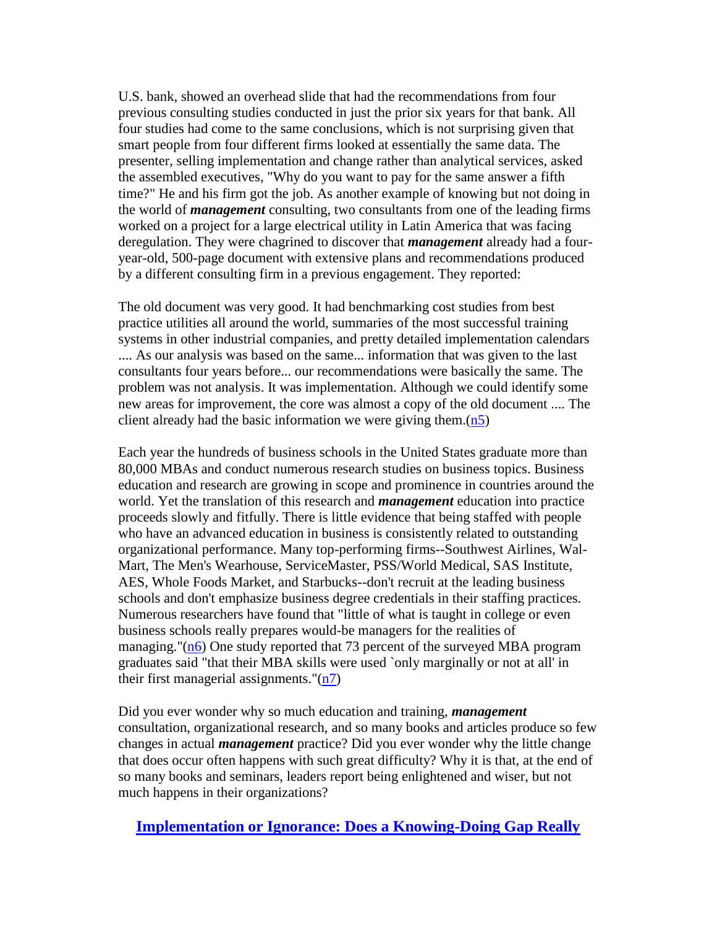U.S. bank, showed an overhead slide that had the recommendations from four previous consulting studies conducted in just the prior six years for that bank. All four studies had come to the same conclusions, which is not surprising given that smart people from four different firms looked at essentially the same data. The presenter, selling implementation and change rather than analytical services, asked the assembled executives, "Why do you want to pay for the same answer a fifth time?" He and his firm got the job. As another example of knowing but not doing in the world of *management* consulting, two consultants from one of the leading firms worked on a project for a large electrical utility in Latin America that was facing deregulation. They were chagrined to discover that *management* already had a fouryear-old, 500-page document with extensive plans and recommendations produced by a different consulting firm in a previous engagement. They reported:

The old document was very good. It had benchmarking cost studies from best practice utilities all around the world, summaries of the most successful training systems in other industrial companies, and pretty detailed implementation calendars .... As our analysis was based on the same... information that was given to the last consultants four years before... our recommendations were basically the same. The problem was not analysis. It was implementation. Although we could identify some new areas for improvement, the core was almost a copy of the old document .... The client already had the basic information we were giving them. $(n5)$ 

Each year the hundreds of business schools in the United States graduate more than 80,000 MBAs and conduct numerous research studies on business topics. Business education and research are growing in scope and prominence in countries around the world. Yet the translation of this research and *management* education into practice proceeds slowly and fitfully. There is little evidence that being staffed with people who have an advanced education in business is consistently related to outstanding organizational performance. Many top-performing firms--Southwest Airlines, Wal-Mart, The Men's Wearhouse, ServiceMaster, PSS/World Medical, SAS Institute, AES, Whole Foods Market, and Starbucks--don't recruit at the leading business schools and don't emphasize business degree credentials in their staffing practices. Numerous researchers have found that "little of what is taught in college or even business schools really prepares would-be managers for the realities of managing."[\(n6\)](http://164.58.125.64:2104/citation.asp?tb=1&_ug=dbs+0%2C3+ln+en%2Dus+sid+45FDCFBA%2D3B2D%2D4042%2D9690%2D662CE98758D4%40sessionmgr5+C672&_us=bs+Pfeffer+ds+Pfeffer+dstb+KS+gl+%5Fs%5F0+hd+0+hs+0+or+Date+ri+KAAACBVC00235009+sm+KS+so+b+ss+SO+5F54&cf=1&fn=1&rn=1#bib6#bib6) One study reported that 73 percent of the surveyed MBA program graduates said "that their MBA skills were used `only marginally or not at all' in their first managerial assignments." $(n7)$ 

Did you ever wonder why so much education and training, *management* consultation, organizational research, and so many books and articles produce so few changes in actual *management* practice? Did you ever wonder why the little change that does occur often happens with such great difficulty? Why it is that, at the end of so many books and seminars, leaders report being enlightened and wiser, but not much happens in their organizations?

**[Implementation or Ignorance: Does a Knowing-Doing Gap Really](http://164.58.125.64:2104/citation.asp?tb=1&_ug=dbs+0%2C3+ln+en%2Dus+sid+45FDCFBA%2D3B2D%2D4042%2D9690%2D662CE98758D4%40sessionmgr5+C672&_us=bs+Pfeffer+ds+Pfeffer+dstb+KS+gl+%5Fs%5F0+hd+0+hs+0+or+Date+ri+KAAACBVC00235009+sm+KS+so+b+ss+SO+5F54&cf=1&fn=1&rn=1#toc#toc)**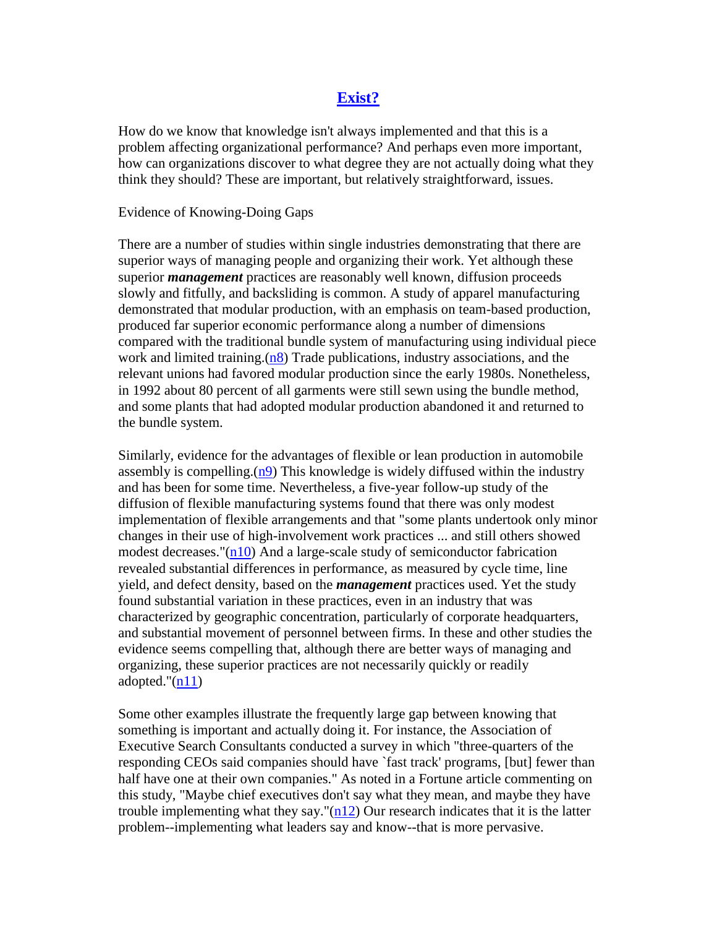### **[Exist?](http://164.58.125.64:2104/citation.asp?tb=1&_ug=dbs+0%2C3+ln+en%2Dus+sid+45FDCFBA%2D3B2D%2D4042%2D9690%2D662CE98758D4%40sessionmgr5+C672&_us=bs+Pfeffer+ds+Pfeffer+dstb+KS+gl+%5Fs%5F0+hd+0+hs+0+or+Date+ri+KAAACBVC00235009+sm+KS+so+b+ss+SO+5F54&cf=1&fn=1&rn=1#toc#toc)**

How do we know that knowledge isn't always implemented and that this is a problem affecting organizational performance? And perhaps even more important, how can organizations discover to what degree they are not actually doing what they think they should? These are important, but relatively straightforward, issues.

#### Evidence of Knowing-Doing Gaps

There are a number of studies within single industries demonstrating that there are superior ways of managing people and organizing their work. Yet although these superior *management* practices are reasonably well known, diffusion proceeds slowly and fitfully, and backsliding is common. A study of apparel manufacturing demonstrated that modular production, with an emphasis on team-based production, produced far superior economic performance along a number of dimensions compared with the traditional bundle system of manufacturing using individual piece work and limited training.[\(n8\)](http://164.58.125.64:2104/citation.asp?tb=1&_ug=dbs+0%2C3+ln+en%2Dus+sid+45FDCFBA%2D3B2D%2D4042%2D9690%2D662CE98758D4%40sessionmgr5+C672&_us=bs+Pfeffer+ds+Pfeffer+dstb+KS+gl+%5Fs%5F0+hd+0+hs+0+or+Date+ri+KAAACBVC00235009+sm+KS+so+b+ss+SO+5F54&cf=1&fn=1&rn=1#bib8#bib8) Trade publications, industry associations, and the relevant unions had favored modular production since the early 1980s. Nonetheless, in 1992 about 80 percent of all garments were still sewn using the bundle method, and some plants that had adopted modular production abandoned it and returned to the bundle system.

Similarly, evidence for the advantages of flexible or lean production in automobile assembly is compelling. $(n9)$  This knowledge is widely diffused within the industry and has been for some time. Nevertheless, a five-year follow-up study of the diffusion of flexible manufacturing systems found that there was only modest implementation of flexible arrangements and that "some plants undertook only minor changes in their use of high-involvement work practices ... and still others showed modest decreases." $(n10)$  And a large-scale study of semiconductor fabrication revealed substantial differences in performance, as measured by cycle time, line yield, and defect density, based on the *management* practices used. Yet the study found substantial variation in these practices, even in an industry that was characterized by geographic concentration, particularly of corporate headquarters, and substantial movement of personnel between firms. In these and other studies the evidence seems compelling that, although there are better ways of managing and organizing, these superior practices are not necessarily quickly or readily adopted." $(n11)$ 

Some other examples illustrate the frequently large gap between knowing that something is important and actually doing it. For instance, the Association of Executive Search Consultants conducted a survey in which "three-quarters of the responding CEOs said companies should have `fast track' programs, [but] fewer than half have one at their own companies." As noted in a Fortune article commenting on this study, "Maybe chief executives don't say what they mean, and maybe they have trouble implementing what they say." $(n12)$  Our research indicates that it is the latter problem--implementing what leaders say and know--that is more pervasive.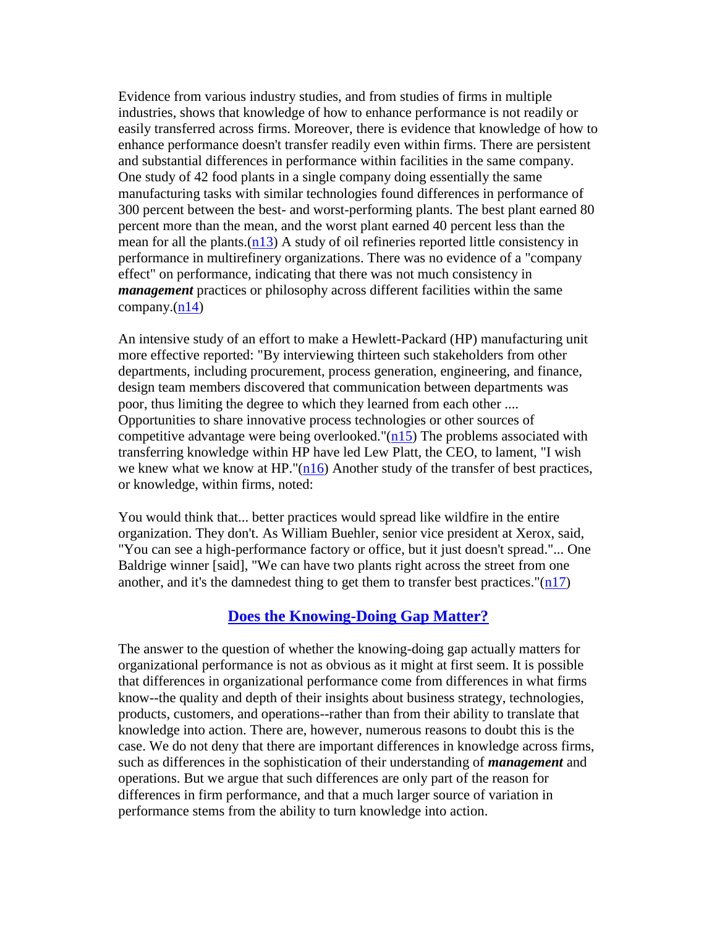Evidence from various industry studies, and from studies of firms in multiple industries, shows that knowledge of how to enhance performance is not readily or easily transferred across firms. Moreover, there is evidence that knowledge of how to enhance performance doesn't transfer readily even within firms. There are persistent and substantial differences in performance within facilities in the same company. One study of 42 food plants in a single company doing essentially the same manufacturing tasks with similar technologies found differences in performance of 300 percent between the best- and worst-performing plants. The best plant earned 80 percent more than the mean, and the worst plant earned 40 percent less than the mean for all the plants. $(n13)$  A study of oil refineries reported little consistency in performance in multirefinery organizations. There was no evidence of a "company effect" on performance, indicating that there was not much consistency in *management* practices or philosophy across different facilities within the same company. $(n14)$ 

An intensive study of an effort to make a Hewlett-Packard (HP) manufacturing unit more effective reported: "By interviewing thirteen such stakeholders from other departments, including procurement, process generation, engineering, and finance, design team members discovered that communication between departments was poor, thus limiting the degree to which they learned from each other .... Opportunities to share innovative process technologies or other sources of competitive advantage were being overlooked." $(n15)$  The problems associated with transferring knowledge within HP have led Lew Platt, the CEO, to lament, "I wish we knew what we know at HP." $(n16)$  Another study of the transfer of best practices, or knowledge, within firms, noted:

You would think that... better practices would spread like wildfire in the entire organization. They don't. As William Buehler, senior vice president at Xerox, said, "You can see a high-performance factory or office, but it just doesn't spread."... One Baldrige winner [said], "We can have two plants right across the street from one another, and it's the damnedest thing to get them to transfer best practices." $(n17)$ 

## **[Does the Knowing-Doing Gap Matter?](http://164.58.125.64:2104/citation.asp?tb=1&_ug=dbs+0%2C3+ln+en%2Dus+sid+45FDCFBA%2D3B2D%2D4042%2D9690%2D662CE98758D4%40sessionmgr5+C672&_us=bs+Pfeffer+ds+Pfeffer+dstb+KS+gl+%5Fs%5F0+hd+0+hs+0+or+Date+ri+KAAACBVC00235009+sm+KS+so+b+ss+SO+5F54&cf=1&fn=1&rn=1#toc#toc)**

The answer to the question of whether the knowing-doing gap actually matters for organizational performance is not as obvious as it might at first seem. It is possible that differences in organizational performance come from differences in what firms know--the quality and depth of their insights about business strategy, technologies, products, customers, and operations--rather than from their ability to translate that knowledge into action. There are, however, numerous reasons to doubt this is the case. We do not deny that there are important differences in knowledge across firms, such as differences in the sophistication of their understanding of *management* and operations. But we argue that such differences are only part of the reason for differences in firm performance, and that a much larger source of variation in performance stems from the ability to turn knowledge into action.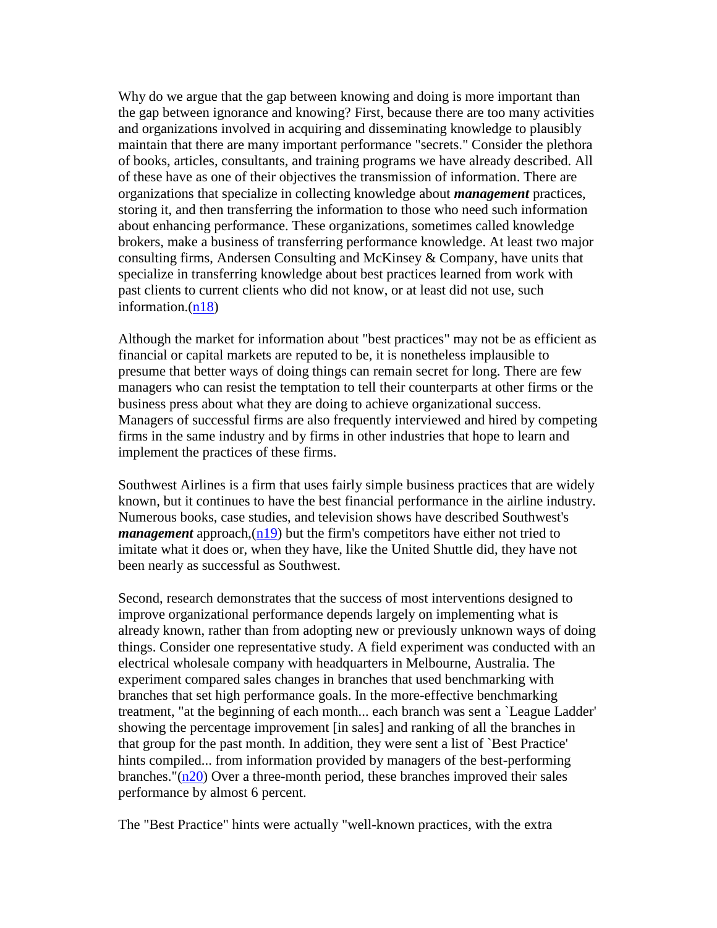Why do we argue that the gap between knowing and doing is more important than the gap between ignorance and knowing? First, because there are too many activities and organizations involved in acquiring and disseminating knowledge to plausibly maintain that there are many important performance "secrets." Consider the plethora of books, articles, consultants, and training programs we have already described. All of these have as one of their objectives the transmission of information. There are organizations that specialize in collecting knowledge about *management* practices, storing it, and then transferring the information to those who need such information about enhancing performance. These organizations, sometimes called knowledge brokers, make a business of transferring performance knowledge. At least two major consulting firms, Andersen Consulting and McKinsey & Company, have units that specialize in transferring knowledge about best practices learned from work with past clients to current clients who did not know, or at least did not use, such information.[\(n18\)](http://164.58.125.64:2104/citation.asp?tb=1&_ug=dbs+0%2C3+ln+en%2Dus+sid+45FDCFBA%2D3B2D%2D4042%2D9690%2D662CE98758D4%40sessionmgr5+C672&_us=bs+Pfeffer+ds+Pfeffer+dstb+KS+gl+%5Fs%5F0+hd+0+hs+0+or+Date+ri+KAAACBVC00235009+sm+KS+so+b+ss+SO+5F54&cf=1&fn=1&rn=1#bib18#bib18)

Although the market for information about "best practices" may not be as efficient as financial or capital markets are reputed to be, it is nonetheless implausible to presume that better ways of doing things can remain secret for long. There are few managers who can resist the temptation to tell their counterparts at other firms or the business press about what they are doing to achieve organizational success. Managers of successful firms are also frequently interviewed and hired by competing firms in the same industry and by firms in other industries that hope to learn and implement the practices of these firms.

Southwest Airlines is a firm that uses fairly simple business practices that are widely known, but it continues to have the best financial performance in the airline industry. Numerous books, case studies, and television shows have described Southwest's *management* approach, [\(n19\)](http://164.58.125.64:2104/citation.asp?tb=1&_ug=dbs+0%2C3+ln+en%2Dus+sid+45FDCFBA%2D3B2D%2D4042%2D9690%2D662CE98758D4%40sessionmgr5+C672&_us=bs+Pfeffer+ds+Pfeffer+dstb+KS+gl+%5Fs%5F0+hd+0+hs+0+or+Date+ri+KAAACBVC00235009+sm+KS+so+b+ss+SO+5F54&cf=1&fn=1&rn=1#bib19#bib19) but the firm's competitors have either not tried to imitate what it does or, when they have, like the United Shuttle did, they have not been nearly as successful as Southwest.

Second, research demonstrates that the success of most interventions designed to improve organizational performance depends largely on implementing what is already known, rather than from adopting new or previously unknown ways of doing things. Consider one representative study. A field experiment was conducted with an electrical wholesale company with headquarters in Melbourne, Australia. The experiment compared sales changes in branches that used benchmarking with branches that set high performance goals. In the more-effective benchmarking treatment, "at the beginning of each month... each branch was sent a `League Ladder' showing the percentage improvement [in sales] and ranking of all the branches in that group for the past month. In addition, they were sent a list of `Best Practice' hints compiled... from information provided by managers of the best-performing branches."[\(n20\)](http://164.58.125.64:2104/citation.asp?tb=1&_ug=dbs+0%2C3+ln+en%2Dus+sid+45FDCFBA%2D3B2D%2D4042%2D9690%2D662CE98758D4%40sessionmgr5+C672&_us=bs+Pfeffer+ds+Pfeffer+dstb+KS+gl+%5Fs%5F0+hd+0+hs+0+or+Date+ri+KAAACBVC00235009+sm+KS+so+b+ss+SO+5F54&cf=1&fn=1&rn=1#bib20#bib20) Over a three-month period, these branches improved their sales performance by almost 6 percent.

The "Best Practice" hints were actually "well-known practices, with the extra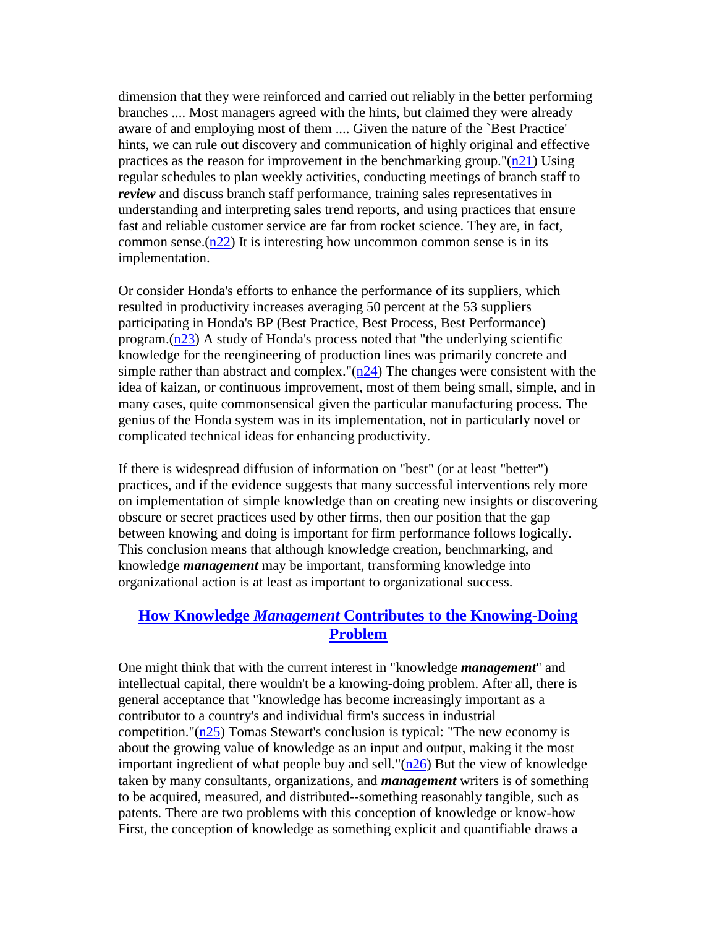dimension that they were reinforced and carried out reliably in the better performing branches .... Most managers agreed with the hints, but claimed they were already aware of and employing most of them .... Given the nature of the `Best Practice' hints, we can rule out discovery and communication of highly original and effective practices as the reason for improvement in the benchmarking group." $(n21)$  Using regular schedules to plan weekly activities, conducting meetings of branch staff to *review* and discuss branch staff performance, training sales representatives in understanding and interpreting sales trend reports, and using practices that ensure fast and reliable customer service are far from rocket science. They are, in fact, common sense. $(n22)$  It is interesting how uncommon common sense is in its implementation.

Or consider Honda's efforts to enhance the performance of its suppliers, which resulted in productivity increases averaging 50 percent at the 53 suppliers participating in Honda's BP (Best Practice, Best Process, Best Performance) program.[\(n23\)](http://164.58.125.64:2104/citation.asp?tb=1&_ug=dbs+0%2C3+ln+en%2Dus+sid+45FDCFBA%2D3B2D%2D4042%2D9690%2D662CE98758D4%40sessionmgr5+C672&_us=bs+Pfeffer+ds+Pfeffer+dstb+KS+gl+%5Fs%5F0+hd+0+hs+0+or+Date+ri+KAAACBVC00235009+sm+KS+so+b+ss+SO+5F54&cf=1&fn=1&rn=1#bib23#bib23) A study of Honda's process noted that "the underlying scientific knowledge for the reengineering of production lines was primarily concrete and simple rather than abstract and complex." $(n24)$  The changes were consistent with the idea of kaizan, or continuous improvement, most of them being small, simple, and in many cases, quite commonsensical given the particular manufacturing process. The genius of the Honda system was in its implementation, not in particularly novel or complicated technical ideas for enhancing productivity.

If there is widespread diffusion of information on "best" (or at least "better") practices, and if the evidence suggests that many successful interventions rely more on implementation of simple knowledge than on creating new insights or discovering obscure or secret practices used by other firms, then our position that the gap between knowing and doing is important for firm performance follows logically. This conclusion means that although knowledge creation, benchmarking, and knowledge *management* may be important, transforming knowledge into organizational action is at least as important to organizational success.

## **How Knowledge** *Management* **[Contributes to the Knowing-Doing](http://164.58.125.64:2104/citation.asp?tb=1&_ug=dbs+0%2C3+ln+en%2Dus+sid+45FDCFBA%2D3B2D%2D4042%2D9690%2D662CE98758D4%40sessionmgr5+C672&_us=bs+Pfeffer+ds+Pfeffer+dstb+KS+gl+%5Fs%5F0+hd+0+hs+0+or+Date+ri+KAAACBVC00235009+sm+KS+so+b+ss+SO+5F54&cf=1&fn=1&rn=1#toc#toc)  [Problem](http://164.58.125.64:2104/citation.asp?tb=1&_ug=dbs+0%2C3+ln+en%2Dus+sid+45FDCFBA%2D3B2D%2D4042%2D9690%2D662CE98758D4%40sessionmgr5+C672&_us=bs+Pfeffer+ds+Pfeffer+dstb+KS+gl+%5Fs%5F0+hd+0+hs+0+or+Date+ri+KAAACBVC00235009+sm+KS+so+b+ss+SO+5F54&cf=1&fn=1&rn=1#toc#toc)**

One might think that with the current interest in "knowledge *management*" and intellectual capital, there wouldn't be a knowing-doing problem. After all, there is general acceptance that "knowledge has become increasingly important as a contributor to a country's and individual firm's success in industrial competition."[\(n25\)](http://164.58.125.64:2104/citation.asp?tb=1&_ug=dbs+0%2C3+ln+en%2Dus+sid+45FDCFBA%2D3B2D%2D4042%2D9690%2D662CE98758D4%40sessionmgr5+C672&_us=bs+Pfeffer+ds+Pfeffer+dstb+KS+gl+%5Fs%5F0+hd+0+hs+0+or+Date+ri+KAAACBVC00235009+sm+KS+so+b+ss+SO+5F54&cf=1&fn=1&rn=1#bib25#bib25) Tomas Stewart's conclusion is typical: "The new economy is about the growing value of knowledge as an input and output, making it the most important ingredient of what people buy and sell." $(n26)$  But the view of knowledge taken by many consultants, organizations, and *management* writers is of something to be acquired, measured, and distributed--something reasonably tangible, such as patents. There are two problems with this conception of knowledge or know-how First, the conception of knowledge as something explicit and quantifiable draws a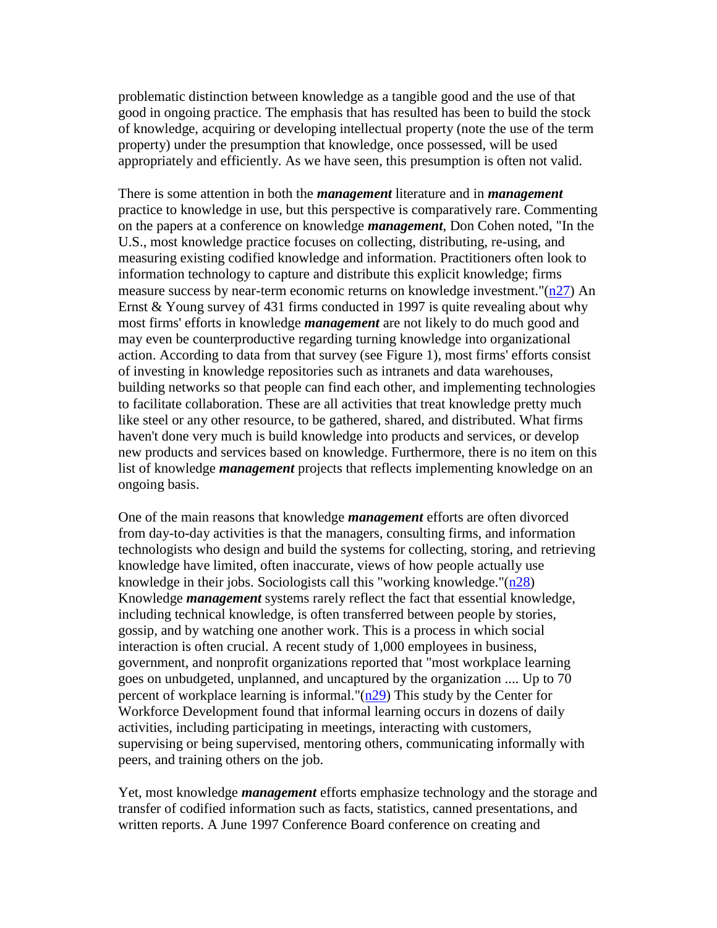problematic distinction between knowledge as a tangible good and the use of that good in ongoing practice. The emphasis that has resulted has been to build the stock of knowledge, acquiring or developing intellectual property (note the use of the term property) under the presumption that knowledge, once possessed, will be used appropriately and efficiently. As we have seen, this presumption is often not valid.

There is some attention in both the *management* literature and in *management* practice to knowledge in use, but this perspective is comparatively rare. Commenting on the papers at a conference on knowledge *management*, Don Cohen noted, "In the U.S., most knowledge practice focuses on collecting, distributing, re-using, and measuring existing codified knowledge and information. Practitioners often look to information technology to capture and distribute this explicit knowledge; firms measure success by near-term economic returns on knowledge investment." $(n27)$  An Ernst & Young survey of 431 firms conducted in 1997 is quite revealing about why most firms' efforts in knowledge *management* are not likely to do much good and may even be counterproductive regarding turning knowledge into organizational action. According to data from that survey (see Figure 1), most firms' efforts consist of investing in knowledge repositories such as intranets and data warehouses, building networks so that people can find each other, and implementing technologies to facilitate collaboration. These are all activities that treat knowledge pretty much like steel or any other resource, to be gathered, shared, and distributed. What firms haven't done very much is build knowledge into products and services, or develop new products and services based on knowledge. Furthermore, there is no item on this list of knowledge *management* projects that reflects implementing knowledge on an ongoing basis.

One of the main reasons that knowledge *management* efforts are often divorced from day-to-day activities is that the managers, consulting firms, and information technologists who design and build the systems for collecting, storing, and retrieving knowledge have limited, often inaccurate, views of how people actually use knowledge in their jobs. Sociologists call this "working knowledge."[\(n28\)](http://164.58.125.64:2104/citation.asp?tb=1&_ug=dbs+0%2C3+ln+en%2Dus+sid+45FDCFBA%2D3B2D%2D4042%2D9690%2D662CE98758D4%40sessionmgr5+C672&_us=bs+Pfeffer+ds+Pfeffer+dstb+KS+gl+%5Fs%5F0+hd+0+hs+0+or+Date+ri+KAAACBVC00235009+sm+KS+so+b+ss+SO+5F54&cf=1&fn=1&rn=1#bib28#bib28) Knowledge *management* systems rarely reflect the fact that essential knowledge, including technical knowledge, is often transferred between people by stories, gossip, and by watching one another work. This is a process in which social interaction is often crucial. A recent study of 1,000 employees in business, government, and nonprofit organizations reported that "most workplace learning goes on unbudgeted, unplanned, and uncaptured by the organization .... Up to 70 percent of workplace learning is informal." $(n29)$  This study by the Center for Workforce Development found that informal learning occurs in dozens of daily activities, including participating in meetings, interacting with customers, supervising or being supervised, mentoring others, communicating informally with peers, and training others on the job.

Yet, most knowledge *management* efforts emphasize technology and the storage and transfer of codified information such as facts, statistics, canned presentations, and written reports. A June 1997 Conference Board conference on creating and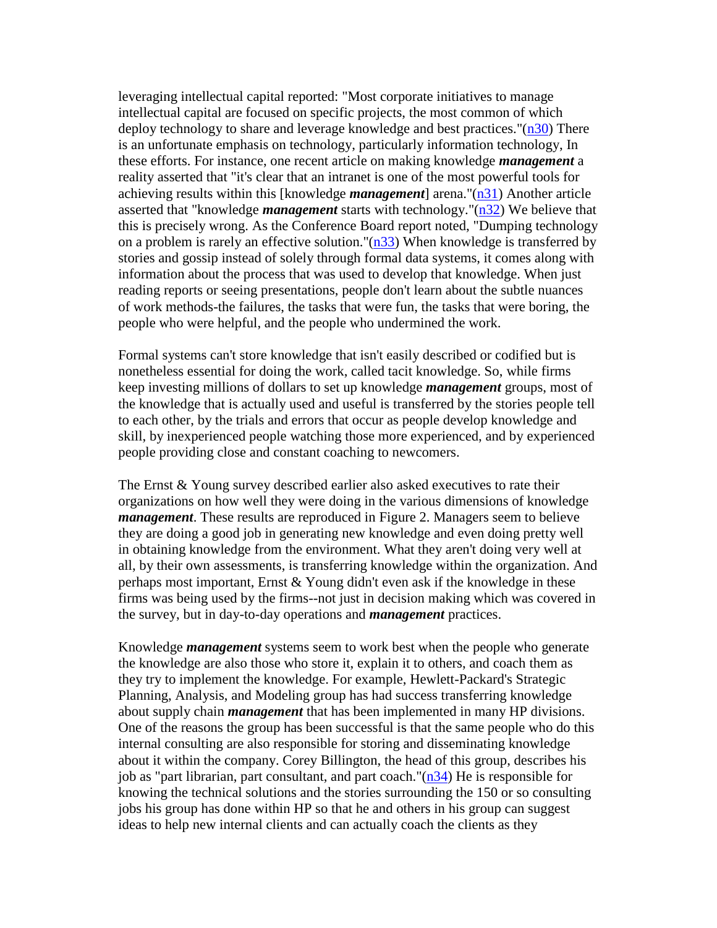leveraging intellectual capital reported: "Most corporate initiatives to manage intellectual capital are focused on specific projects, the most common of which deploy technology to share and leverage knowledge and best practices." $(n30)$  There is an unfortunate emphasis on technology, particularly information technology, In these efforts. For instance, one recent article on making knowledge *management* a reality asserted that "it's clear that an intranet is one of the most powerful tools for achieving results within this [knowledge *management*] arena."[\(n31\)](http://164.58.125.64:2104/citation.asp?tb=1&_ug=dbs+0%2C3+ln+en%2Dus+sid+45FDCFBA%2D3B2D%2D4042%2D9690%2D662CE98758D4%40sessionmgr5+C672&_us=bs+Pfeffer+ds+Pfeffer+dstb+KS+gl+%5Fs%5F0+hd+0+hs+0+or+Date+ri+KAAACBVC00235009+sm+KS+so+b+ss+SO+5F54&cf=1&fn=1&rn=1#bib31#bib31) Another article asserted that "knowledge *management* starts with technology."[\(n32\)](http://164.58.125.64:2104/citation.asp?tb=1&_ug=dbs+0%2C3+ln+en%2Dus+sid+45FDCFBA%2D3B2D%2D4042%2D9690%2D662CE98758D4%40sessionmgr5+C672&_us=bs+Pfeffer+ds+Pfeffer+dstb+KS+gl+%5Fs%5F0+hd+0+hs+0+or+Date+ri+KAAACBVC00235009+sm+KS+so+b+ss+SO+5F54&cf=1&fn=1&rn=1#bib32#bib32) We believe that this is precisely wrong. As the Conference Board report noted, "Dumping technology on a problem is rarely an effective solution." $(n33)$  When knowledge is transferred by stories and gossip instead of solely through formal data systems, it comes along with information about the process that was used to develop that knowledge. When just reading reports or seeing presentations, people don't learn about the subtle nuances of work methods-the failures, the tasks that were fun, the tasks that were boring, the people who were helpful, and the people who undermined the work.

Formal systems can't store knowledge that isn't easily described or codified but is nonetheless essential for doing the work, called tacit knowledge. So, while firms keep investing millions of dollars to set up knowledge *management* groups, most of the knowledge that is actually used and useful is transferred by the stories people tell to each other, by the trials and errors that occur as people develop knowledge and skill, by inexperienced people watching those more experienced, and by experienced people providing close and constant coaching to newcomers.

The Ernst & Young survey described earlier also asked executives to rate their organizations on how well they were doing in the various dimensions of knowledge *management*. These results are reproduced in Figure 2. Managers seem to believe they are doing a good job in generating new knowledge and even doing pretty well in obtaining knowledge from the environment. What they aren't doing very well at all, by their own assessments, is transferring knowledge within the organization. And perhaps most important, Ernst & Young didn't even ask if the knowledge in these firms was being used by the firms--not just in decision making which was covered in the survey, but in day-to-day operations and *management* practices.

Knowledge *management* systems seem to work best when the people who generate the knowledge are also those who store it, explain it to others, and coach them as they try to implement the knowledge. For example, Hewlett-Packard's Strategic Planning, Analysis, and Modeling group has had success transferring knowledge about supply chain *management* that has been implemented in many HP divisions. One of the reasons the group has been successful is that the same people who do this internal consulting are also responsible for storing and disseminating knowledge about it within the company. Corey Billington, the head of this group, describes his job as "part librarian, part consultant, and part coach." $(n34)$  He is responsible for knowing the technical solutions and the stories surrounding the 150 or so consulting jobs his group has done within HP so that he and others in his group can suggest ideas to help new internal clients and can actually coach the clients as they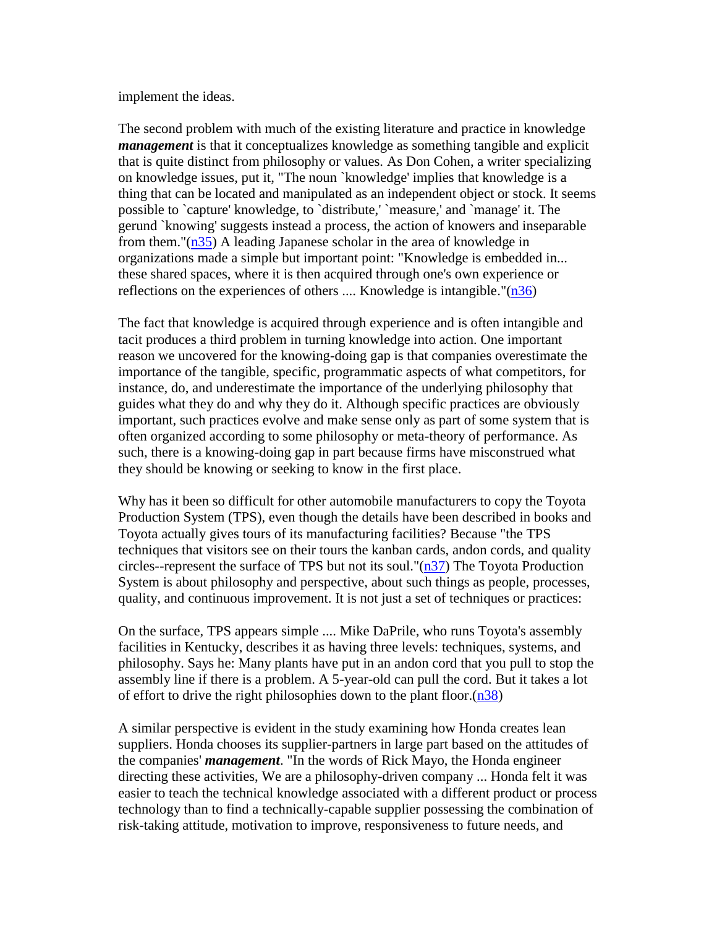implement the ideas.

The second problem with much of the existing literature and practice in knowledge *management* is that it conceptualizes knowledge as something tangible and explicit that is quite distinct from philosophy or values. As Don Cohen, a writer specializing on knowledge issues, put it, "The noun `knowledge' implies that knowledge is a thing that can be located and manipulated as an independent object or stock. It seems possible to `capture' knowledge, to `distribute,' `measure,' and `manage' it. The gerund `knowing' suggests instead a process, the action of knowers and inseparable from them."[\(n35\)](http://164.58.125.64:2104/citation.asp?tb=1&_ug=dbs+0%2C3+ln+en%2Dus+sid+45FDCFBA%2D3B2D%2D4042%2D9690%2D662CE98758D4%40sessionmgr5+C672&_us=bs+Pfeffer+ds+Pfeffer+dstb+KS+gl+%5Fs%5F0+hd+0+hs+0+or+Date+ri+KAAACBVC00235009+sm+KS+so+b+ss+SO+5F54&cf=1&fn=1&rn=1#bib35#bib35) A leading Japanese scholar in the area of knowledge in organizations made a simple but important point: "Knowledge is embedded in... these shared spaces, where it is then acquired through one's own experience or reflections on the experiences of others .... Knowledge is intangible."[\(n36\)](http://164.58.125.64:2104/citation.asp?tb=1&_ug=dbs+0%2C3+ln+en%2Dus+sid+45FDCFBA%2D3B2D%2D4042%2D9690%2D662CE98758D4%40sessionmgr5+C672&_us=bs+Pfeffer+ds+Pfeffer+dstb+KS+gl+%5Fs%5F0+hd+0+hs+0+or+Date+ri+KAAACBVC00235009+sm+KS+so+b+ss+SO+5F54&cf=1&fn=1&rn=1#bib36#bib36)

The fact that knowledge is acquired through experience and is often intangible and tacit produces a third problem in turning knowledge into action. One important reason we uncovered for the knowing-doing gap is that companies overestimate the importance of the tangible, specific, programmatic aspects of what competitors, for instance, do, and underestimate the importance of the underlying philosophy that guides what they do and why they do it. Although specific practices are obviously important, such practices evolve and make sense only as part of some system that is often organized according to some philosophy or meta-theory of performance. As such, there is a knowing-doing gap in part because firms have misconstrued what they should be knowing or seeking to know in the first place.

Why has it been so difficult for other automobile manufacturers to copy the Toyota Production System (TPS), even though the details have been described in books and Toyota actually gives tours of its manufacturing facilities? Because "the TPS techniques that visitors see on their tours the kanban cards, andon cords, and quality circles--represent the surface of TPS but not its soul." $(n37)$  The Toyota Production System is about philosophy and perspective, about such things as people, processes, quality, and continuous improvement. It is not just a set of techniques or practices:

On the surface, TPS appears simple .... Mike DaPrile, who runs Toyota's assembly facilities in Kentucky, describes it as having three levels: techniques, systems, and philosophy. Says he: Many plants have put in an andon cord that you pull to stop the assembly line if there is a problem. A 5-year-old can pull the cord. But it takes a lot of effort to drive the right philosophies down to the plant floor. $(n38)$ 

A similar perspective is evident in the study examining how Honda creates lean suppliers. Honda chooses its supplier-partners in large part based on the attitudes of the companies' *management*. "In the words of Rick Mayo, the Honda engineer directing these activities, We are a philosophy-driven company ... Honda felt it was easier to teach the technical knowledge associated with a different product or process technology than to find a technically-capable supplier possessing the combination of risk-taking attitude, motivation to improve, responsiveness to future needs, and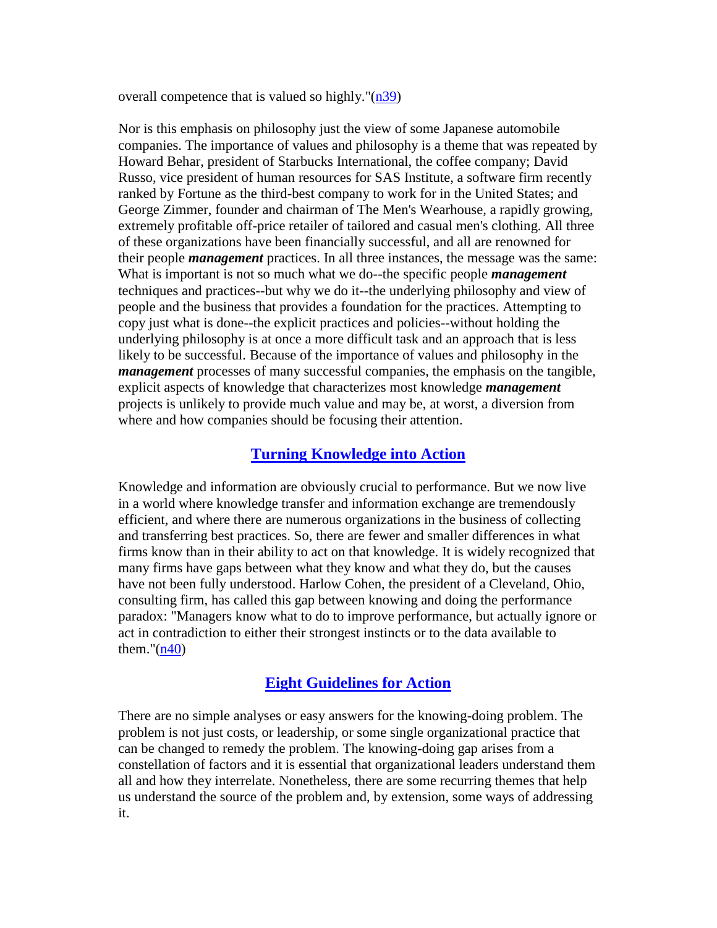overall competence that is valued so highly." $(n39)$ 

Nor is this emphasis on philosophy just the view of some Japanese automobile companies. The importance of values and philosophy is a theme that was repeated by Howard Behar, president of Starbucks International, the coffee company; David Russo, vice president of human resources for SAS Institute, a software firm recently ranked by Fortune as the third-best company to work for in the United States; and George Zimmer, founder and chairman of The Men's Wearhouse, a rapidly growing, extremely profitable off-price retailer of tailored and casual men's clothing. All three of these organizations have been financially successful, and all are renowned for their people *management* practices. In all three instances, the message was the same: What is important is not so much what we do--the specific people *management* techniques and practices--but why we do it--the underlying philosophy and view of people and the business that provides a foundation for the practices. Attempting to copy just what is done--the explicit practices and policies--without holding the underlying philosophy is at once a more difficult task and an approach that is less likely to be successful. Because of the importance of values and philosophy in the *management* processes of many successful companies, the emphasis on the tangible, explicit aspects of knowledge that characterizes most knowledge *management* projects is unlikely to provide much value and may be, at worst, a diversion from where and how companies should be focusing their attention.

## **[Turning Knowledge into Action](http://164.58.125.64:2104/citation.asp?tb=1&_ug=dbs+0%2C3+ln+en%2Dus+sid+45FDCFBA%2D3B2D%2D4042%2D9690%2D662CE98758D4%40sessionmgr5+C672&_us=bs+Pfeffer+ds+Pfeffer+dstb+KS+gl+%5Fs%5F0+hd+0+hs+0+or+Date+ri+KAAACBVC00235009+sm+KS+so+b+ss+SO+5F54&cf=1&fn=1&rn=1#toc#toc)**

Knowledge and information are obviously crucial to performance. But we now live in a world where knowledge transfer and information exchange are tremendously efficient, and where there are numerous organizations in the business of collecting and transferring best practices. So, there are fewer and smaller differences in what firms know than in their ability to act on that knowledge. It is widely recognized that many firms have gaps between what they know and what they do, but the causes have not been fully understood. Harlow Cohen, the president of a Cleveland, Ohio, consulting firm, has called this gap between knowing and doing the performance paradox: "Managers know what to do to improve performance, but actually ignore or act in contradiction to either their strongest instincts or to the data available to them." $(n40)$ 

## **[Eight Guidelines for Action](http://164.58.125.64:2104/citation.asp?tb=1&_ug=dbs+0%2C3+ln+en%2Dus+sid+45FDCFBA%2D3B2D%2D4042%2D9690%2D662CE98758D4%40sessionmgr5+C672&_us=bs+Pfeffer+ds+Pfeffer+dstb+KS+gl+%5Fs%5F0+hd+0+hs+0+or+Date+ri+KAAACBVC00235009+sm+KS+so+b+ss+SO+5F54&cf=1&fn=1&rn=1#toc#toc)**

There are no simple analyses or easy answers for the knowing-doing problem. The problem is not just costs, or leadership, or some single organizational practice that can be changed to remedy the problem. The knowing-doing gap arises from a constellation of factors and it is essential that organizational leaders understand them all and how they interrelate. Nonetheless, there are some recurring themes that help us understand the source of the problem and, by extension, some ways of addressing it.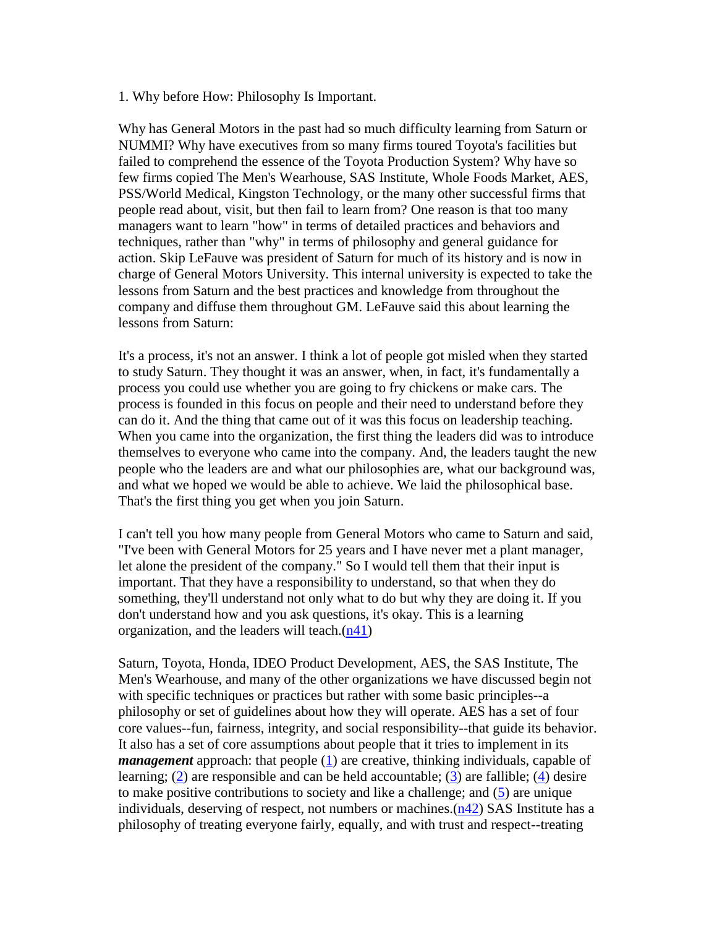1. Why before How: Philosophy Is Important.

Why has General Motors in the past had so much difficulty learning from Saturn or NUMMI? Why have executives from so many firms toured Toyota's facilities but failed to comprehend the essence of the Toyota Production System? Why have so few firms copied The Men's Wearhouse, SAS Institute, Whole Foods Market, AES, PSS/World Medical, Kingston Technology, or the many other successful firms that people read about, visit, but then fail to learn from? One reason is that too many managers want to learn "how" in terms of detailed practices and behaviors and techniques, rather than "why" in terms of philosophy and general guidance for action. Skip LeFauve was president of Saturn for much of its history and is now in charge of General Motors University. This internal university is expected to take the lessons from Saturn and the best practices and knowledge from throughout the company and diffuse them throughout GM. LeFauve said this about learning the lessons from Saturn:

It's a process, it's not an answer. I think a lot of people got misled when they started to study Saturn. They thought it was an answer, when, in fact, it's fundamentally a process you could use whether you are going to fry chickens or make cars. The process is founded in this focus on people and their need to understand before they can do it. And the thing that came out of it was this focus on leadership teaching. When you came into the organization, the first thing the leaders did was to introduce themselves to everyone who came into the company. And, the leaders taught the new people who the leaders are and what our philosophies are, what our background was, and what we hoped we would be able to achieve. We laid the philosophical base. That's the first thing you get when you join Saturn.

I can't tell you how many people from General Motors who came to Saturn and said, "I've been with General Motors for 25 years and I have never met a plant manager, let alone the president of the company." So I would tell them that their input is important. That they have a responsibility to understand, so that when they do something, they'll understand not only what to do but why they are doing it. If you don't understand how and you ask questions, it's okay. This is a learning organization, and the leaders will teach. $(n41)$ 

Saturn, Toyota, Honda, IDEO Product Development, AES, the SAS Institute, The Men's Wearhouse, and many of the other organizations we have discussed begin not with specific techniques or practices but rather with some basic principles--a philosophy or set of guidelines about how they will operate. AES has a set of four core values--fun, fairness, integrity, and social responsibility--that guide its behavior. It also has a set of core assumptions about people that it tries to implement in its *management* approach: that people [\(1\)](http://164.58.125.64:2104/citation.asp?tb=1&_ug=dbs+0%2C3+ln+en%2Dus+sid+45FDCFBA%2D3B2D%2D4042%2D9690%2D662CE98758D4%40sessionmgr5+C672&_us=bs+Pfeffer+ds+Pfeffer+dstb+KS+gl+%5Fs%5F0+hd+0+hs+0+or+Date+ri+KAAACBVC00235009+sm+KS+so+b+ss+SO+5F54&cf=1&fn=1&rn=1#bib1#bib1) are creative, thinking individuals, capable of learning; [\(2\)](http://164.58.125.64:2104/citation.asp?tb=1&_ug=dbs+0%2C3+ln+en%2Dus+sid+45FDCFBA%2D3B2D%2D4042%2D9690%2D662CE98758D4%40sessionmgr5+C672&_us=bs+Pfeffer+ds+Pfeffer+dstb+KS+gl+%5Fs%5F0+hd+0+hs+0+or+Date+ri+KAAACBVC00235009+sm+KS+so+b+ss+SO+5F54&cf=1&fn=1&rn=1#bib2#bib2) are responsible and can be held accountable; [\(3\)](http://164.58.125.64:2104/citation.asp?tb=1&_ug=dbs+0%2C3+ln+en%2Dus+sid+45FDCFBA%2D3B2D%2D4042%2D9690%2D662CE98758D4%40sessionmgr5+C672&_us=bs+Pfeffer+ds+Pfeffer+dstb+KS+gl+%5Fs%5F0+hd+0+hs+0+or+Date+ri+KAAACBVC00235009+sm+KS+so+b+ss+SO+5F54&cf=1&fn=1&rn=1#bib3#bib3) are fallible; [\(4\)](http://164.58.125.64:2104/citation.asp?tb=1&_ug=dbs+0%2C3+ln+en%2Dus+sid+45FDCFBA%2D3B2D%2D4042%2D9690%2D662CE98758D4%40sessionmgr5+C672&_us=bs+Pfeffer+ds+Pfeffer+dstb+KS+gl+%5Fs%5F0+hd+0+hs+0+or+Date+ri+KAAACBVC00235009+sm+KS+so+b+ss+SO+5F54&cf=1&fn=1&rn=1#bib4#bib4) desire to make positive contributions to society and like a challenge; and [\(5\)](http://164.58.125.64:2104/citation.asp?tb=1&_ug=dbs+0%2C3+ln+en%2Dus+sid+45FDCFBA%2D3B2D%2D4042%2D9690%2D662CE98758D4%40sessionmgr5+C672&_us=bs+Pfeffer+ds+Pfeffer+dstb+KS+gl+%5Fs%5F0+hd+0+hs+0+or+Date+ri+KAAACBVC00235009+sm+KS+so+b+ss+SO+5F54&cf=1&fn=1&rn=1#bib5#bib5) are unique individuals, deserving of respect, not numbers or machines.[\(n42\)](http://164.58.125.64:2104/citation.asp?tb=1&_ug=dbs+0%2C3+ln+en%2Dus+sid+45FDCFBA%2D3B2D%2D4042%2D9690%2D662CE98758D4%40sessionmgr5+C672&_us=bs+Pfeffer+ds+Pfeffer+dstb+KS+gl+%5Fs%5F0+hd+0+hs+0+or+Date+ri+KAAACBVC00235009+sm+KS+so+b+ss+SO+5F54&cf=1&fn=1&rn=1#bib42#bib42) SAS Institute has a philosophy of treating everyone fairly, equally, and with trust and respect--treating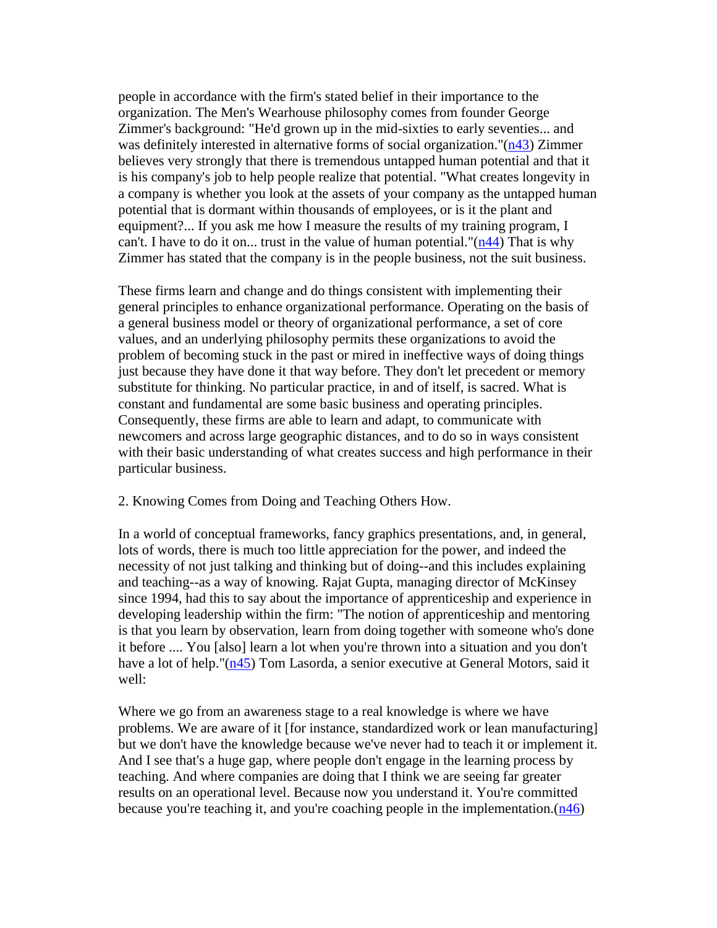people in accordance with the firm's stated belief in their importance to the organization. The Men's Wearhouse philosophy comes from founder George Zimmer's background: "He'd grown up in the mid-sixties to early seventies... and was definitely interested in alternative forms of social organization."[\(n43\)](http://164.58.125.64:2104/citation.asp?tb=1&_ug=dbs+0%2C3+ln+en%2Dus+sid+45FDCFBA%2D3B2D%2D4042%2D9690%2D662CE98758D4%40sessionmgr5+C672&_us=bs+Pfeffer+ds+Pfeffer+dstb+KS+gl+%5Fs%5F0+hd+0+hs+0+or+Date+ri+KAAACBVC00235009+sm+KS+so+b+ss+SO+5F54&cf=1&fn=1&rn=1#bib43#bib43) Zimmer believes very strongly that there is tremendous untapped human potential and that it is his company's job to help people realize that potential. "What creates longevity in a company is whether you look at the assets of your company as the untapped human potential that is dormant within thousands of employees, or is it the plant and equipment?... If you ask me how I measure the results of my training program, I can't. I have to do it on... trust in the value of human potential." $(n44)$  That is why Zimmer has stated that the company is in the people business, not the suit business.

These firms learn and change and do things consistent with implementing their general principles to enhance organizational performance. Operating on the basis of a general business model or theory of organizational performance, a set of core values, and an underlying philosophy permits these organizations to avoid the problem of becoming stuck in the past or mired in ineffective ways of doing things just because they have done it that way before. They don't let precedent or memory substitute for thinking. No particular practice, in and of itself, is sacred. What is constant and fundamental are some basic business and operating principles. Consequently, these firms are able to learn and adapt, to communicate with newcomers and across large geographic distances, and to do so in ways consistent with their basic understanding of what creates success and high performance in their particular business.

#### 2. Knowing Comes from Doing and Teaching Others How.

In a world of conceptual frameworks, fancy graphics presentations, and, in general, lots of words, there is much too little appreciation for the power, and indeed the necessity of not just talking and thinking but of doing--and this includes explaining and teaching--as a way of knowing. Rajat Gupta, managing director of McKinsey since 1994, had this to say about the importance of apprenticeship and experience in developing leadership within the firm: "The notion of apprenticeship and mentoring is that you learn by observation, learn from doing together with someone who's done it before .... You [also] learn a lot when you're thrown into a situation and you don't have a lot of help."( $n45$ ) Tom Lasorda, a senior executive at General Motors, said it well:

Where we go from an awareness stage to a real knowledge is where we have problems. We are aware of it [for instance, standardized work or lean manufacturing] but we don't have the knowledge because we've never had to teach it or implement it. And I see that's a huge gap, where people don't engage in the learning process by teaching. And where companies are doing that I think we are seeing far greater results on an operational level. Because now you understand it. You're committed because you're teaching it, and you're coaching people in the implementation.[\(n46\)](http://164.58.125.64:2104/citation.asp?tb=1&_ug=dbs+0%2C3+ln+en%2Dus+sid+45FDCFBA%2D3B2D%2D4042%2D9690%2D662CE98758D4%40sessionmgr5+C672&_us=bs+Pfeffer+ds+Pfeffer+dstb+KS+gl+%5Fs%5F0+hd+0+hs+0+or+Date+ri+KAAACBVC00235009+sm+KS+so+b+ss+SO+5F54&cf=1&fn=1&rn=1#bib46#bib46)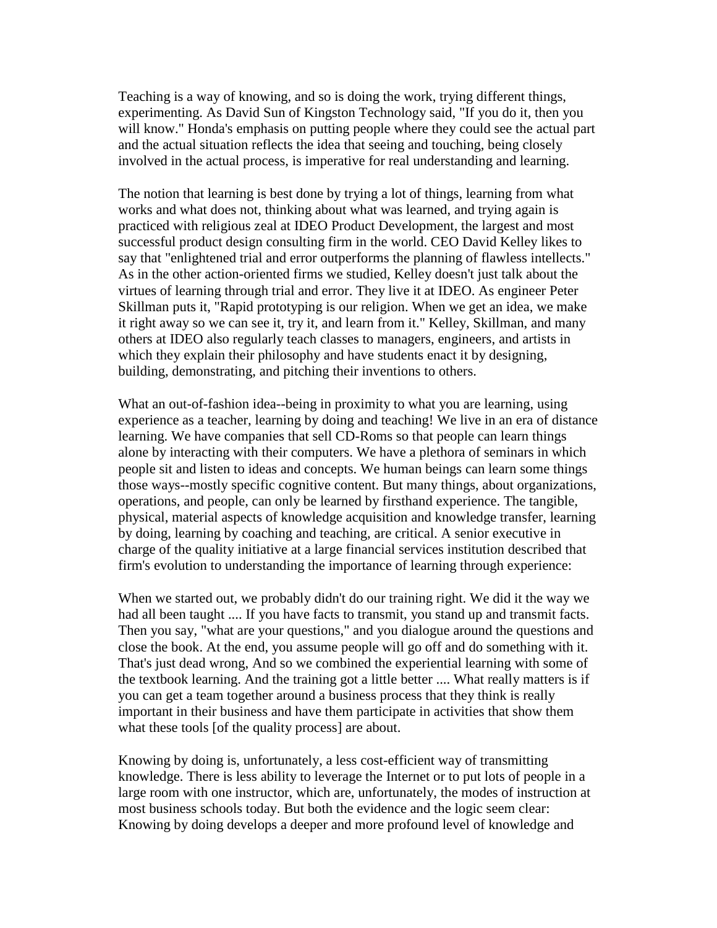Teaching is a way of knowing, and so is doing the work, trying different things, experimenting. As David Sun of Kingston Technology said, "If you do it, then you will know." Honda's emphasis on putting people where they could see the actual part and the actual situation reflects the idea that seeing and touching, being closely involved in the actual process, is imperative for real understanding and learning.

The notion that learning is best done by trying a lot of things, learning from what works and what does not, thinking about what was learned, and trying again is practiced with religious zeal at IDEO Product Development, the largest and most successful product design consulting firm in the world. CEO David Kelley likes to say that "enlightened trial and error outperforms the planning of flawless intellects." As in the other action-oriented firms we studied, Kelley doesn't just talk about the virtues of learning through trial and error. They live it at IDEO. As engineer Peter Skillman puts it, "Rapid prototyping is our religion. When we get an idea, we make it right away so we can see it, try it, and learn from it." Kelley, Skillman, and many others at IDEO also regularly teach classes to managers, engineers, and artists in which they explain their philosophy and have students enact it by designing, building, demonstrating, and pitching their inventions to others.

What an out-of-fashion idea--being in proximity to what you are learning, using experience as a teacher, learning by doing and teaching! We live in an era of distance learning. We have companies that sell CD-Roms so that people can learn things alone by interacting with their computers. We have a plethora of seminars in which people sit and listen to ideas and concepts. We human beings can learn some things those ways--mostly specific cognitive content. But many things, about organizations, operations, and people, can only be learned by firsthand experience. The tangible, physical, material aspects of knowledge acquisition and knowledge transfer, learning by doing, learning by coaching and teaching, are critical. A senior executive in charge of the quality initiative at a large financial services institution described that firm's evolution to understanding the importance of learning through experience:

When we started out, we probably didn't do our training right. We did it the way we had all been taught .... If you have facts to transmit, you stand up and transmit facts. Then you say, "what are your questions," and you dialogue around the questions and close the book. At the end, you assume people will go off and do something with it. That's just dead wrong, And so we combined the experiential learning with some of the textbook learning. And the training got a little better .... What really matters is if you can get a team together around a business process that they think is really important in their business and have them participate in activities that show them what these tools [of the quality process] are about.

Knowing by doing is, unfortunately, a less cost-efficient way of transmitting knowledge. There is less ability to leverage the Internet or to put lots of people in a large room with one instructor, which are, unfortunately, the modes of instruction at most business schools today. But both the evidence and the logic seem clear: Knowing by doing develops a deeper and more profound level of knowledge and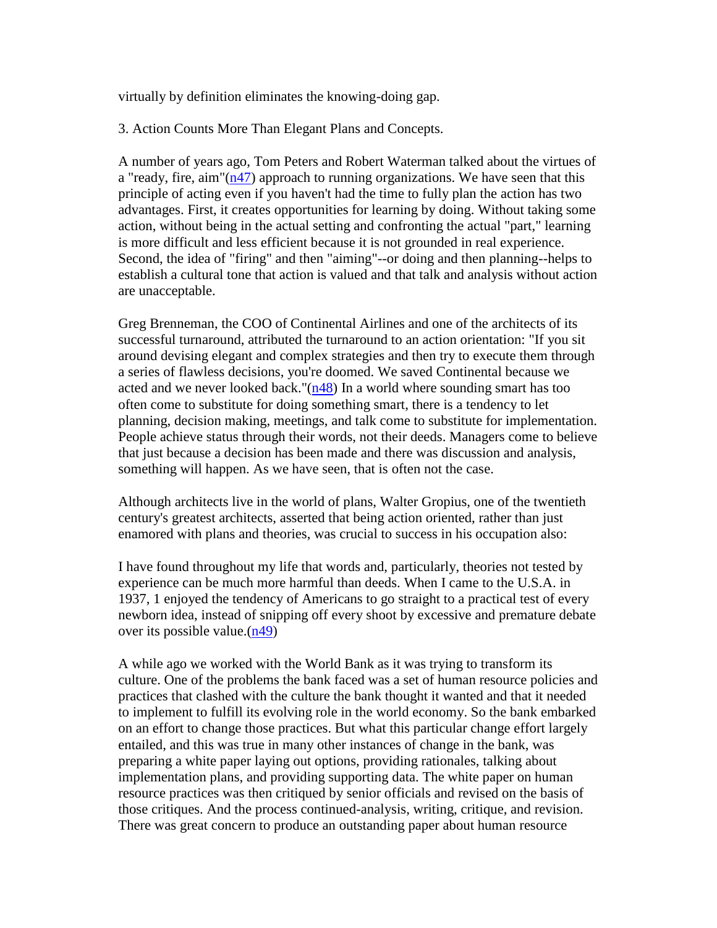virtually by definition eliminates the knowing-doing gap.

3. Action Counts More Than Elegant Plans and Concepts.

A number of years ago, Tom Peters and Robert Waterman talked about the virtues of a "ready, fire, aim" $(n47)$  approach to running organizations. We have seen that this principle of acting even if you haven't had the time to fully plan the action has two advantages. First, it creates opportunities for learning by doing. Without taking some action, without being in the actual setting and confronting the actual "part," learning is more difficult and less efficient because it is not grounded in real experience. Second, the idea of "firing" and then "aiming"--or doing and then planning--helps to establish a cultural tone that action is valued and that talk and analysis without action are unacceptable.

Greg Brenneman, the COO of Continental Airlines and one of the architects of its successful turnaround, attributed the turnaround to an action orientation: "If you sit around devising elegant and complex strategies and then try to execute them through a series of flawless decisions, you're doomed. We saved Continental because we acted and we never looked back." $(n48)$  In a world where sounding smart has too often come to substitute for doing something smart, there is a tendency to let planning, decision making, meetings, and talk come to substitute for implementation. People achieve status through their words, not their deeds. Managers come to believe that just because a decision has been made and there was discussion and analysis, something will happen. As we have seen, that is often not the case.

Although architects live in the world of plans, Walter Gropius, one of the twentieth century's greatest architects, asserted that being action oriented, rather than just enamored with plans and theories, was crucial to success in his occupation also:

I have found throughout my life that words and, particularly, theories not tested by experience can be much more harmful than deeds. When I came to the U.S.A. in 1937, 1 enjoyed the tendency of Americans to go straight to a practical test of every newborn idea, instead of snipping off every shoot by excessive and premature debate over its possible value. $(n49)$ 

A while ago we worked with the World Bank as it was trying to transform its culture. One of the problems the bank faced was a set of human resource policies and practices that clashed with the culture the bank thought it wanted and that it needed to implement to fulfill its evolving role in the world economy. So the bank embarked on an effort to change those practices. But what this particular change effort largely entailed, and this was true in many other instances of change in the bank, was preparing a white paper laying out options, providing rationales, talking about implementation plans, and providing supporting data. The white paper on human resource practices was then critiqued by senior officials and revised on the basis of those critiques. And the process continued-analysis, writing, critique, and revision. There was great concern to produce an outstanding paper about human resource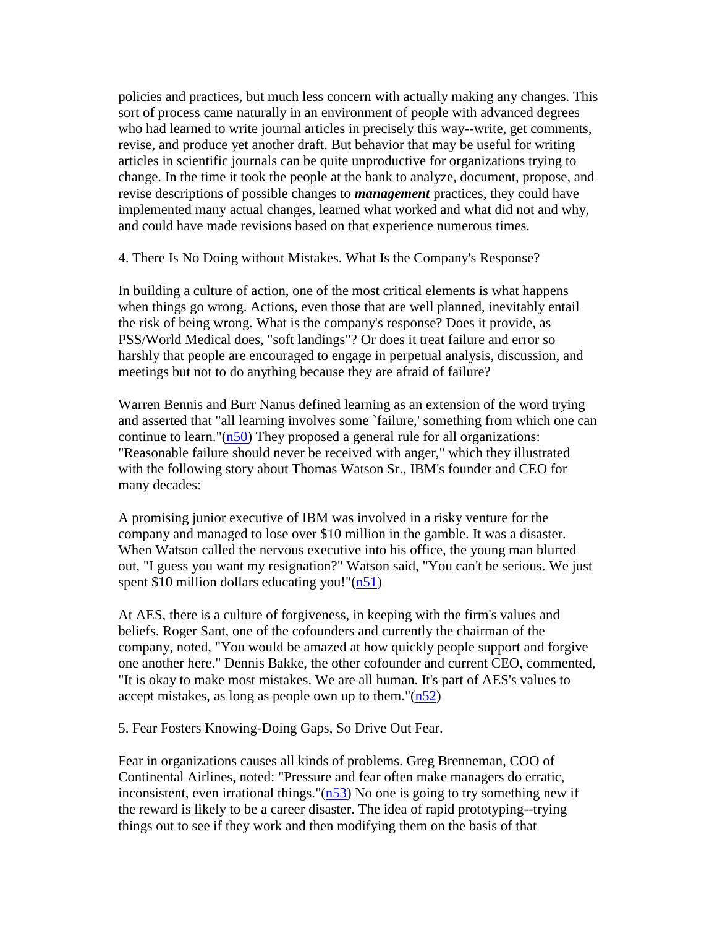policies and practices, but much less concern with actually making any changes. This sort of process came naturally in an environment of people with advanced degrees who had learned to write journal articles in precisely this way--write, get comments, revise, and produce yet another draft. But behavior that may be useful for writing articles in scientific journals can be quite unproductive for organizations trying to change. In the time it took the people at the bank to analyze, document, propose, and revise descriptions of possible changes to *management* practices, they could have implemented many actual changes, learned what worked and what did not and why, and could have made revisions based on that experience numerous times.

4. There Is No Doing without Mistakes. What Is the Company's Response?

In building a culture of action, one of the most critical elements is what happens when things go wrong. Actions, even those that are well planned, inevitably entail the risk of being wrong. What is the company's response? Does it provide, as PSS/World Medical does, "soft landings"? Or does it treat failure and error so harshly that people are encouraged to engage in perpetual analysis, discussion, and meetings but not to do anything because they are afraid of failure?

Warren Bennis and Burr Nanus defined learning as an extension of the word trying and asserted that "all learning involves some `failure,' something from which one can continue to learn." $(n50)$  They proposed a general rule for all organizations: "Reasonable failure should never be received with anger," which they illustrated with the following story about Thomas Watson Sr., IBM's founder and CEO for many decades:

A promising junior executive of IBM was involved in a risky venture for the company and managed to lose over \$10 million in the gamble. It was a disaster. When Watson called the nervous executive into his office, the young man blurted out, "I guess you want my resignation?" Watson said, "You can't be serious. We just spent \$10 million dollars educating you!" $(n51)$ 

At AES, there is a culture of forgiveness, in keeping with the firm's values and beliefs. Roger Sant, one of the cofounders and currently the chairman of the company, noted, "You would be amazed at how quickly people support and forgive one another here." Dennis Bakke, the other cofounder and current CEO, commented, "It is okay to make most mistakes. We are all human. It's part of AES's values to accept mistakes, as long as people own up to them." $(n52)$ 

5. Fear Fosters Knowing-Doing Gaps, So Drive Out Fear.

Fear in organizations causes all kinds of problems. Greg Brenneman, COO of Continental Airlines, noted: "Pressure and fear often make managers do erratic, inconsistent, even irrational things." $(n53)$  No one is going to try something new if the reward is likely to be a career disaster. The idea of rapid prototyping--trying things out to see if they work and then modifying them on the basis of that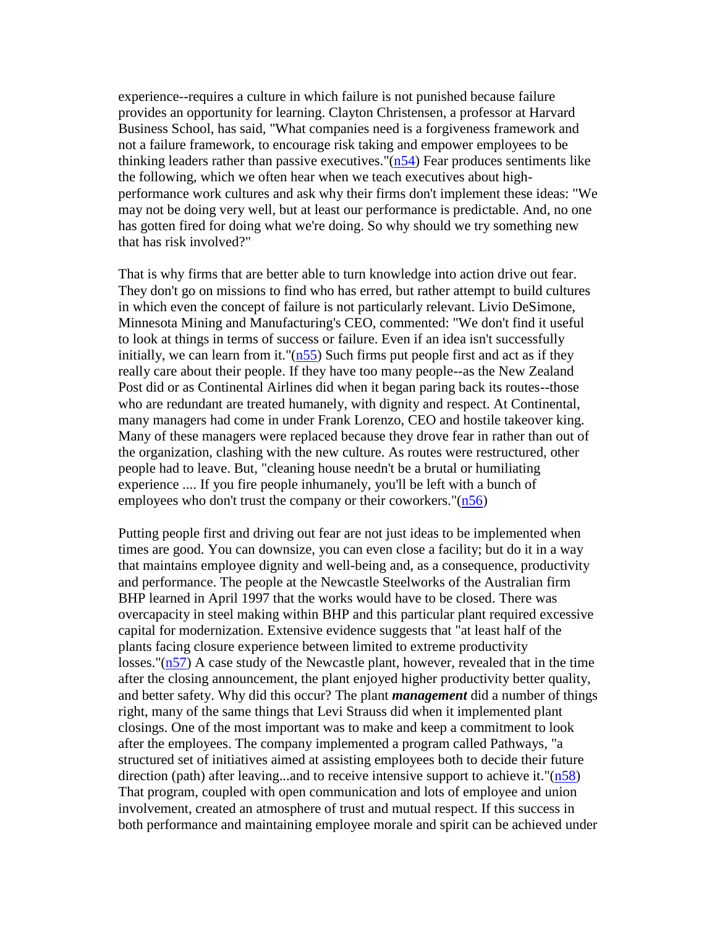experience--requires a culture in which failure is not punished because failure provides an opportunity for learning. Clayton Christensen, a professor at Harvard Business School, has said, "What companies need is a forgiveness framework and not a failure framework, to encourage risk taking and empower employees to be thinking leaders rather than passive executives." $(n54)$  Fear produces sentiments like the following, which we often hear when we teach executives about highperformance work cultures and ask why their firms don't implement these ideas: "We may not be doing very well, but at least our performance is predictable. And, no one has gotten fired for doing what we're doing. So why should we try something new that has risk involved?"

That is why firms that are better able to turn knowledge into action drive out fear. They don't go on missions to find who has erred, but rather attempt to build cultures in which even the concept of failure is not particularly relevant. Livio DeSimone, Minnesota Mining and Manufacturing's CEO, commented: "We don't find it useful to look at things in terms of success or failure. Even if an idea isn't successfully initially, we can learn from it." $(n55)$  Such firms put people first and act as if they really care about their people. If they have too many people--as the New Zealand Post did or as Continental Airlines did when it began paring back its routes--those who are redundant are treated humanely, with dignity and respect. At Continental, many managers had come in under Frank Lorenzo, CEO and hostile takeover king. Many of these managers were replaced because they drove fear in rather than out of the organization, clashing with the new culture. As routes were restructured, other people had to leave. But, "cleaning house needn't be a brutal or humiliating experience .... If you fire people inhumanely, you'll be left with a bunch of employees who don't trust the company or their coworkers."[\(n56\)](http://164.58.125.64:2104/citation.asp?tb=1&_ug=dbs+0%2C3+ln+en%2Dus+sid+45FDCFBA%2D3B2D%2D4042%2D9690%2D662CE98758D4%40sessionmgr5+C672&_us=bs+Pfeffer+ds+Pfeffer+dstb+KS+gl+%5Fs%5F0+hd+0+hs+0+or+Date+ri+KAAACBVC00235009+sm+KS+so+b+ss+SO+5F54&cf=1&fn=1&rn=1#bib56#bib56)

Putting people first and driving out fear are not just ideas to be implemented when times are good. You can downsize, you can even close a facility; but do it in a way that maintains employee dignity and well-being and, as a consequence, productivity and performance. The people at the Newcastle Steelworks of the Australian firm BHP learned in April 1997 that the works would have to be closed. There was overcapacity in steel making within BHP and this particular plant required excessive capital for modernization. Extensive evidence suggests that "at least half of the plants facing closure experience between limited to extreme productivity losses."[\(n57\)](http://164.58.125.64:2104/citation.asp?tb=1&_ug=dbs+0%2C3+ln+en%2Dus+sid+45FDCFBA%2D3B2D%2D4042%2D9690%2D662CE98758D4%40sessionmgr5+C672&_us=bs+Pfeffer+ds+Pfeffer+dstb+KS+gl+%5Fs%5F0+hd+0+hs+0+or+Date+ri+KAAACBVC00235009+sm+KS+so+b+ss+SO+5F54&cf=1&fn=1&rn=1#bib57#bib57) A case study of the Newcastle plant, however, revealed that in the time after the closing announcement, the plant enjoyed higher productivity better quality, and better safety. Why did this occur? The plant *management* did a number of things right, many of the same things that Levi Strauss did when it implemented plant closings. One of the most important was to make and keep a commitment to look after the employees. The company implemented a program called Pathways, "a structured set of initiatives aimed at assisting employees both to decide their future direction (path) after leaving...and to receive intensive support to achieve it."[\(n58\)](http://164.58.125.64:2104/citation.asp?tb=1&_ug=dbs+0%2C3+ln+en%2Dus+sid+45FDCFBA%2D3B2D%2D4042%2D9690%2D662CE98758D4%40sessionmgr5+C672&_us=bs+Pfeffer+ds+Pfeffer+dstb+KS+gl+%5Fs%5F0+hd+0+hs+0+or+Date+ri+KAAACBVC00235009+sm+KS+so+b+ss+SO+5F54&cf=1&fn=1&rn=1#bib58#bib58) That program, coupled with open communication and lots of employee and union involvement, created an atmosphere of trust and mutual respect. If this success in both performance and maintaining employee morale and spirit can be achieved under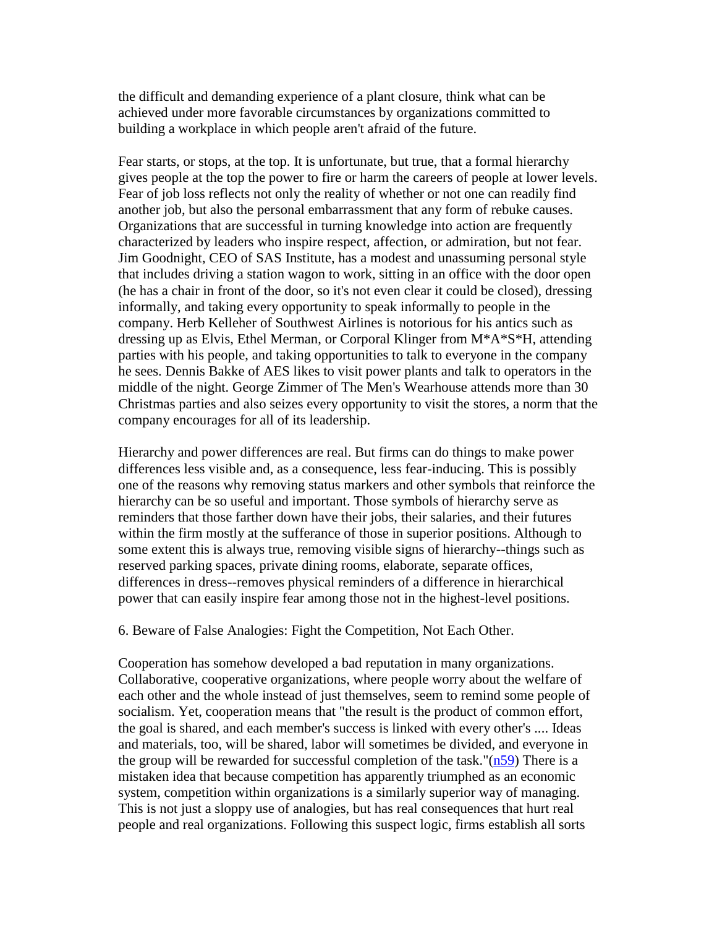the difficult and demanding experience of a plant closure, think what can be achieved under more favorable circumstances by organizations committed to building a workplace in which people aren't afraid of the future.

Fear starts, or stops, at the top. It is unfortunate, but true, that a formal hierarchy gives people at the top the power to fire or harm the careers of people at lower levels. Fear of job loss reflects not only the reality of whether or not one can readily find another job, but also the personal embarrassment that any form of rebuke causes. Organizations that are successful in turning knowledge into action are frequently characterized by leaders who inspire respect, affection, or admiration, but not fear. Jim Goodnight, CEO of SAS Institute, has a modest and unassuming personal style that includes driving a station wagon to work, sitting in an office with the door open (he has a chair in front of the door, so it's not even clear it could be closed), dressing informally, and taking every opportunity to speak informally to people in the company. Herb Kelleher of Southwest Airlines is notorious for his antics such as dressing up as Elvis, Ethel Merman, or Corporal Klinger from M\*A\*S\*H, attending parties with his people, and taking opportunities to talk to everyone in the company he sees. Dennis Bakke of AES likes to visit power plants and talk to operators in the middle of the night. George Zimmer of The Men's Wearhouse attends more than 30 Christmas parties and also seizes every opportunity to visit the stores, a norm that the company encourages for all of its leadership.

Hierarchy and power differences are real. But firms can do things to make power differences less visible and, as a consequence, less fear-inducing. This is possibly one of the reasons why removing status markers and other symbols that reinforce the hierarchy can be so useful and important. Those symbols of hierarchy serve as reminders that those farther down have their jobs, their salaries, and their futures within the firm mostly at the sufferance of those in superior positions. Although to some extent this is always true, removing visible signs of hierarchy--things such as reserved parking spaces, private dining rooms, elaborate, separate offices, differences in dress--removes physical reminders of a difference in hierarchical power that can easily inspire fear among those not in the highest-level positions.

6. Beware of False Analogies: Fight the Competition, Not Each Other.

Cooperation has somehow developed a bad reputation in many organizations. Collaborative, cooperative organizations, where people worry about the welfare of each other and the whole instead of just themselves, seem to remind some people of socialism. Yet, cooperation means that "the result is the product of common effort, the goal is shared, and each member's success is linked with every other's .... Ideas and materials, too, will be shared, labor will sometimes be divided, and everyone in the group will be rewarded for successful completion of the task." $(n59)$  There is a mistaken idea that because competition has apparently triumphed as an economic system, competition within organizations is a similarly superior way of managing. This is not just a sloppy use of analogies, but has real consequences that hurt real people and real organizations. Following this suspect logic, firms establish all sorts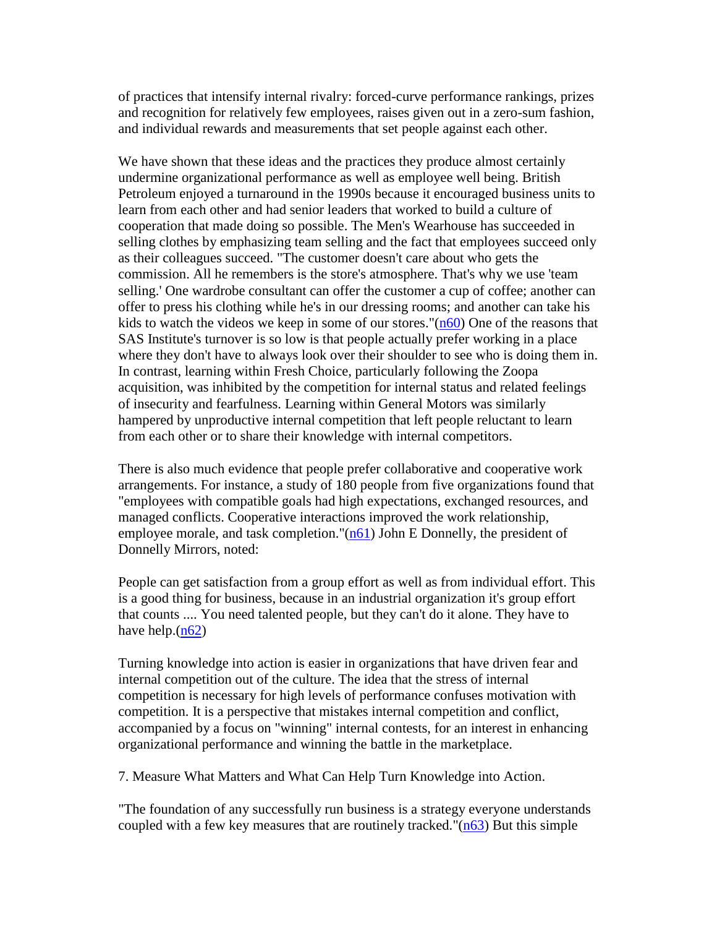of practices that intensify internal rivalry: forced-curve performance rankings, prizes and recognition for relatively few employees, raises given out in a zero-sum fashion, and individual rewards and measurements that set people against each other.

We have shown that these ideas and the practices they produce almost certainly undermine organizational performance as well as employee well being. British Petroleum enjoyed a turnaround in the 1990s because it encouraged business units to learn from each other and had senior leaders that worked to build a culture of cooperation that made doing so possible. The Men's Wearhouse has succeeded in selling clothes by emphasizing team selling and the fact that employees succeed only as their colleagues succeed. "The customer doesn't care about who gets the commission. All he remembers is the store's atmosphere. That's why we use 'team selling.' One wardrobe consultant can offer the customer a cup of coffee; another can offer to press his clothing while he's in our dressing rooms; and another can take his kids to watch the videos we keep in some of our stores." $(n60)$  One of the reasons that SAS Institute's turnover is so low is that people actually prefer working in a place where they don't have to always look over their shoulder to see who is doing them in. In contrast, learning within Fresh Choice, particularly following the Zoopa acquisition, was inhibited by the competition for internal status and related feelings of insecurity and fearfulness. Learning within General Motors was similarly hampered by unproductive internal competition that left people reluctant to learn from each other or to share their knowledge with internal competitors.

There is also much evidence that people prefer collaborative and cooperative work arrangements. For instance, a study of 180 people from five organizations found that "employees with compatible goals had high expectations, exchanged resources, and managed conflicts. Cooperative interactions improved the work relationship, employee morale, and task completion." $(n61)$  John E Donnelly, the president of Donnelly Mirrors, noted:

People can get satisfaction from a group effort as well as from individual effort. This is a good thing for business, because in an industrial organization it's group effort that counts .... You need talented people, but they can't do it alone. They have to have help. $(n62)$ 

Turning knowledge into action is easier in organizations that have driven fear and internal competition out of the culture. The idea that the stress of internal competition is necessary for high levels of performance confuses motivation with competition. It is a perspective that mistakes internal competition and conflict, accompanied by a focus on "winning" internal contests, for an interest in enhancing organizational performance and winning the battle in the marketplace.

7. Measure What Matters and What Can Help Turn Knowledge into Action.

"The foundation of any successfully run business is a strategy everyone understands coupled with a few key measures that are routinely tracked." $(n63)$  But this simple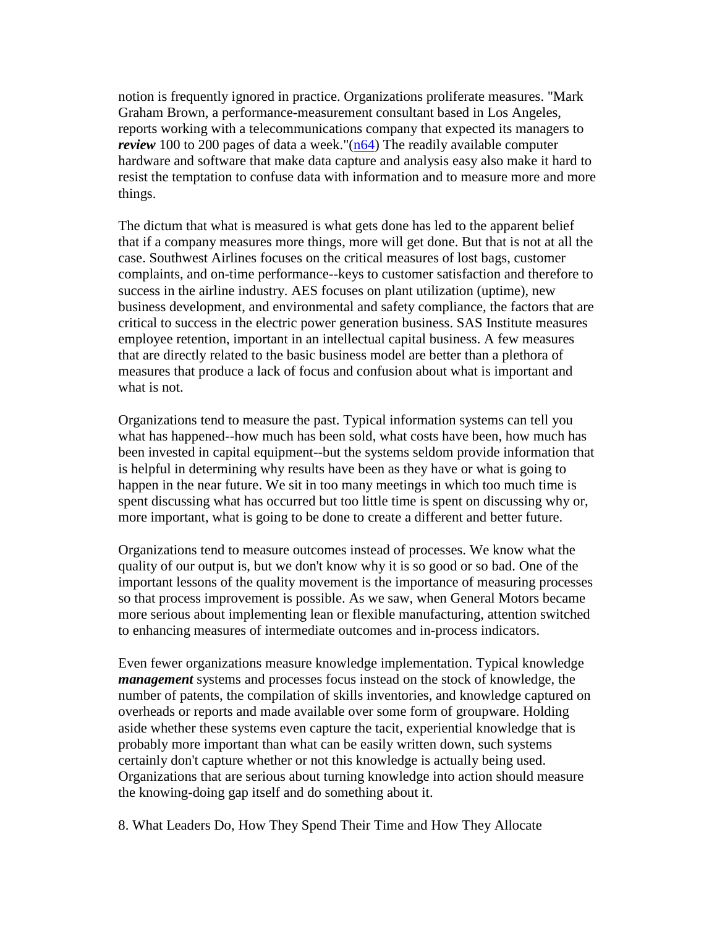notion is frequently ignored in practice. Organizations proliferate measures. "Mark Graham Brown, a performance-measurement consultant based in Los Angeles, reports working with a telecommunications company that expected its managers to *review* 100 to 200 pages of data a week."[\(n64\)](http://164.58.125.64:2104/citation.asp?tb=1&_ug=dbs+0%2C3+ln+en%2Dus+sid+45FDCFBA%2D3B2D%2D4042%2D9690%2D662CE98758D4%40sessionmgr5+C672&_us=bs+Pfeffer+ds+Pfeffer+dstb+KS+gl+%5Fs%5F0+hd+0+hs+0+or+Date+ri+KAAACBVC00235009+sm+KS+so+b+ss+SO+5F54&cf=1&fn=1&rn=1#bib64#bib64) The readily available computer hardware and software that make data capture and analysis easy also make it hard to resist the temptation to confuse data with information and to measure more and more things.

The dictum that what is measured is what gets done has led to the apparent belief that if a company measures more things, more will get done. But that is not at all the case. Southwest Airlines focuses on the critical measures of lost bags, customer complaints, and on-time performance--keys to customer satisfaction and therefore to success in the airline industry. AES focuses on plant utilization (uptime), new business development, and environmental and safety compliance, the factors that are critical to success in the electric power generation business. SAS Institute measures employee retention, important in an intellectual capital business. A few measures that are directly related to the basic business model are better than a plethora of measures that produce a lack of focus and confusion about what is important and what is not.

Organizations tend to measure the past. Typical information systems can tell you what has happened--how much has been sold, what costs have been, how much has been invested in capital equipment--but the systems seldom provide information that is helpful in determining why results have been as they have or what is going to happen in the near future. We sit in too many meetings in which too much time is spent discussing what has occurred but too little time is spent on discussing why or, more important, what is going to be done to create a different and better future.

Organizations tend to measure outcomes instead of processes. We know what the quality of our output is, but we don't know why it is so good or so bad. One of the important lessons of the quality movement is the importance of measuring processes so that process improvement is possible. As we saw, when General Motors became more serious about implementing lean or flexible manufacturing, attention switched to enhancing measures of intermediate outcomes and in-process indicators.

Even fewer organizations measure knowledge implementation. Typical knowledge *management* systems and processes focus instead on the stock of knowledge, the number of patents, the compilation of skills inventories, and knowledge captured on overheads or reports and made available over some form of groupware. Holding aside whether these systems even capture the tacit, experiential knowledge that is probably more important than what can be easily written down, such systems certainly don't capture whether or not this knowledge is actually being used. Organizations that are serious about turning knowledge into action should measure the knowing-doing gap itself and do something about it.

8. What Leaders Do, How They Spend Their Time and How They Allocate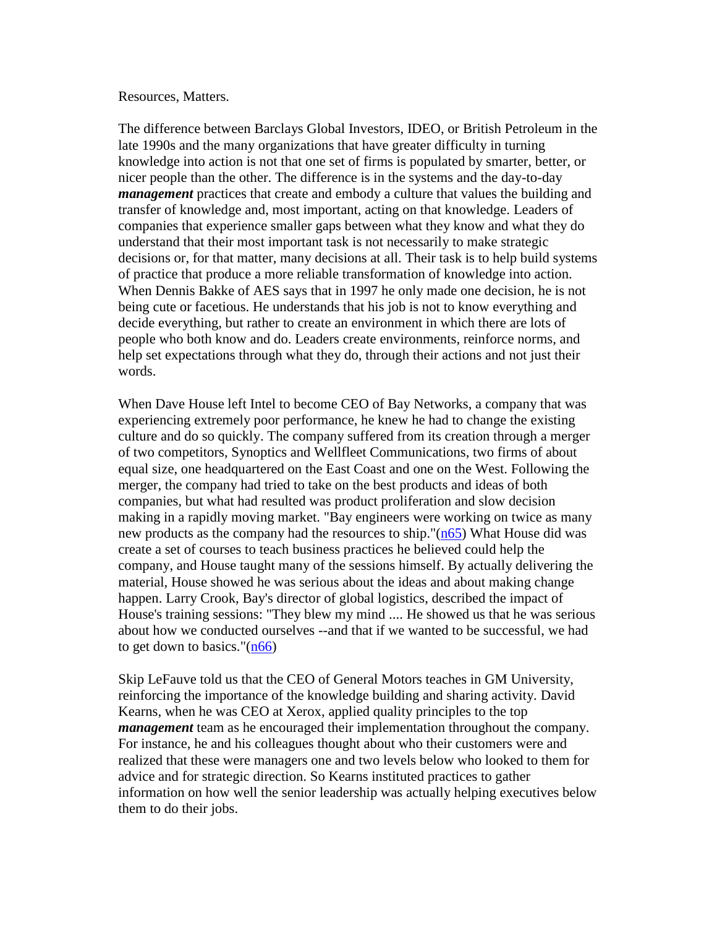#### Resources, Matters.

The difference between Barclays Global Investors, IDEO, or British Petroleum in the late 1990s and the many organizations that have greater difficulty in turning knowledge into action is not that one set of firms is populated by smarter, better, or nicer people than the other. The difference is in the systems and the day-to-day *management* practices that create and embody a culture that values the building and transfer of knowledge and, most important, acting on that knowledge. Leaders of companies that experience smaller gaps between what they know and what they do understand that their most important task is not necessarily to make strategic decisions or, for that matter, many decisions at all. Their task is to help build systems of practice that produce a more reliable transformation of knowledge into action. When Dennis Bakke of AES says that in 1997 he only made one decision, he is not being cute or facetious. He understands that his job is not to know everything and decide everything, but rather to create an environment in which there are lots of people who both know and do. Leaders create environments, reinforce norms, and help set expectations through what they do, through their actions and not just their words.

When Dave House left Intel to become CEO of Bay Networks, a company that was experiencing extremely poor performance, he knew he had to change the existing culture and do so quickly. The company suffered from its creation through a merger of two competitors, Synoptics and Wellfleet Communications, two firms of about equal size, one headquartered on the East Coast and one on the West. Following the merger, the company had tried to take on the best products and ideas of both companies, but what had resulted was product proliferation and slow decision making in a rapidly moving market. "Bay engineers were working on twice as many new products as the company had the resources to ship."[\(n65\)](http://164.58.125.64:2104/citation.asp?tb=1&_ug=dbs+0%2C3+ln+en%2Dus+sid+45FDCFBA%2D3B2D%2D4042%2D9690%2D662CE98758D4%40sessionmgr5+C672&_us=bs+Pfeffer+ds+Pfeffer+dstb+KS+gl+%5Fs%5F0+hd+0+hs+0+or+Date+ri+KAAACBVC00235009+sm+KS+so+b+ss+SO+5F54&cf=1&fn=1&rn=1#bib65#bib65) What House did was create a set of courses to teach business practices he believed could help the company, and House taught many of the sessions himself. By actually delivering the material, House showed he was serious about the ideas and about making change happen. Larry Crook, Bay's director of global logistics, described the impact of House's training sessions: "They blew my mind .... He showed us that he was serious about how we conducted ourselves --and that if we wanted to be successful, we had to get down to basics." $(n66)$ 

Skip LeFauve told us that the CEO of General Motors teaches in GM University, reinforcing the importance of the knowledge building and sharing activity. David Kearns, when he was CEO at Xerox, applied quality principles to the top *management* team as he encouraged their implementation throughout the company. For instance, he and his colleagues thought about who their customers were and realized that these were managers one and two levels below who looked to them for advice and for strategic direction. So Kearns instituted practices to gather information on how well the senior leadership was actually helping executives below them to do their jobs.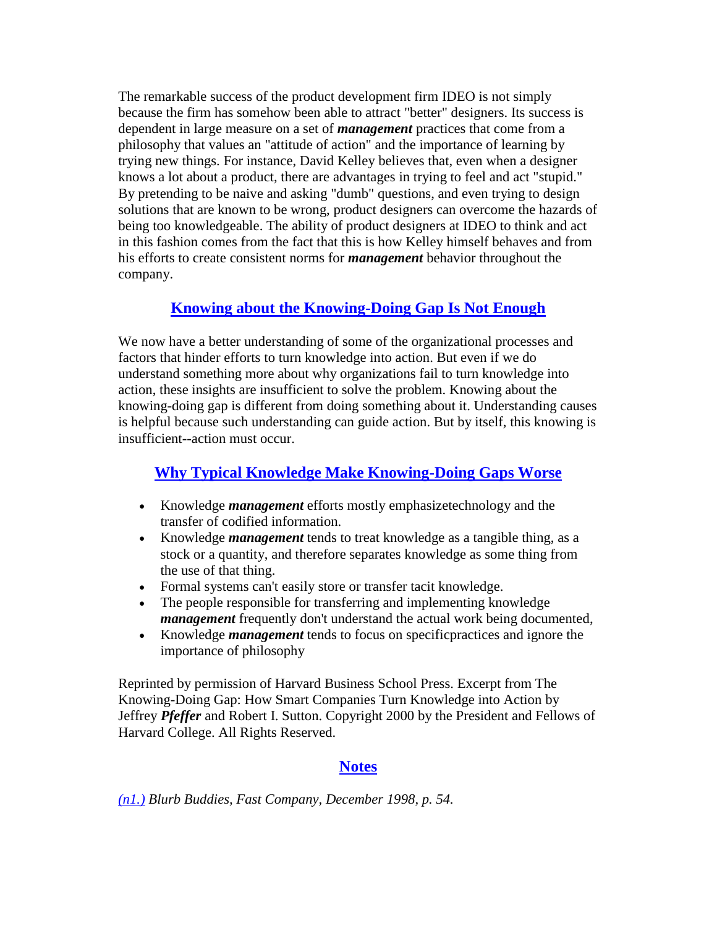The remarkable success of the product development firm IDEO is not simply because the firm has somehow been able to attract "better" designers. Its success is dependent in large measure on a set of *management* practices that come from a philosophy that values an "attitude of action" and the importance of learning by trying new things. For instance, David Kelley believes that, even when a designer knows a lot about a product, there are advantages in trying to feel and act "stupid." By pretending to be naive and asking "dumb" questions, and even trying to design solutions that are known to be wrong, product designers can overcome the hazards of being too knowledgeable. The ability of product designers at IDEO to think and act in this fashion comes from the fact that this is how Kelley himself behaves and from his efforts to create consistent norms for *management* behavior throughout the company.

## **[Knowing about the Knowing-Doing Gap Is Not Enough](http://164.58.125.64:2104/citation.asp?tb=1&_ug=dbs+0%2C3+ln+en%2Dus+sid+45FDCFBA%2D3B2D%2D4042%2D9690%2D662CE98758D4%40sessionmgr5+C672&_us=bs+Pfeffer+ds+Pfeffer+dstb+KS+gl+%5Fs%5F0+hd+0+hs+0+or+Date+ri+KAAACBVC00235009+sm+KS+so+b+ss+SO+5F54&cf=1&fn=1&rn=1#toc#toc)**

We now have a better understanding of some of the organizational processes and factors that hinder efforts to turn knowledge into action. But even if we do understand something more about why organizations fail to turn knowledge into action, these insights are insufficient to solve the problem. Knowing about the knowing-doing gap is different from doing something about it. Understanding causes is helpful because such understanding can guide action. But by itself, this knowing is insufficient--action must occur.

# **[Why Typical Knowledge Make Knowing-Doing Gaps Worse](http://164.58.125.64:2104/citation.asp?tb=1&_ug=dbs+0%2C3+ln+en%2Dus+sid+45FDCFBA%2D3B2D%2D4042%2D9690%2D662CE98758D4%40sessionmgr5+C672&_us=bs+Pfeffer+ds+Pfeffer+dstb+KS+gl+%5Fs%5F0+hd+0+hs+0+or+Date+ri+KAAACBVC00235009+sm+KS+so+b+ss+SO+5F54&cf=1&fn=1&rn=1#toc#toc)**

- Knowledge *management* efforts mostly emphasizetechnology and the transfer of codified information.
- Knowledge *management* tends to treat knowledge as a tangible thing, as a stock or a quantity, and therefore separates knowledge as some thing from the use of that thing.
- Formal systems can't easily store or transfer tacit knowledge.
- The people responsible for transferring and implementing knowledge *management* frequently don't understand the actual work being documented,
- Knowledge *management* tends to focus on specificpractices and ignore the importance of philosophy

Reprinted by permission of Harvard Business School Press. Excerpt from The Knowing-Doing Gap: How Smart Companies Turn Knowledge into Action by Jeffrey *Pfeffer* and Robert I. Sutton. Copyright 2000 by the President and Fellows of Harvard College. All Rights Reserved.

## **[Notes](http://164.58.125.64:2104/citation.asp?tb=1&_ug=dbs+0%2C3+ln+en%2Dus+sid+45FDCFBA%2D3B2D%2D4042%2D9690%2D662CE98758D4%40sessionmgr5+C672&_us=bs+Pfeffer+ds+Pfeffer+dstb+KS+gl+%5Fs%5F0+hd+0+hs+0+or+Date+ri+KAAACBVC00235009+sm+KS+so+b+ss+SO+5F54&cf=1&fn=1&rn=1#toc#toc)**

*[\(n1.\)](http://164.58.125.64:2104/citation.asp?tb=1&_ug=dbs+0%2C3+ln+en%2Dus+sid+45FDCFBA%2D3B2D%2D4042%2D9690%2D662CE98758D4%40sessionmgr5+C672&_us=bs+Pfeffer+ds+Pfeffer+dstb+KS+gl+%5Fs%5F0+hd+0+hs+0+or+Date+ri+KAAACBVC00235009+sm+KS+so+b+ss+SO+5F54&cf=1&fn=1&rn=1#bib1up#bib1up) Blurb Buddies, Fast Company, December 1998, p. 54.*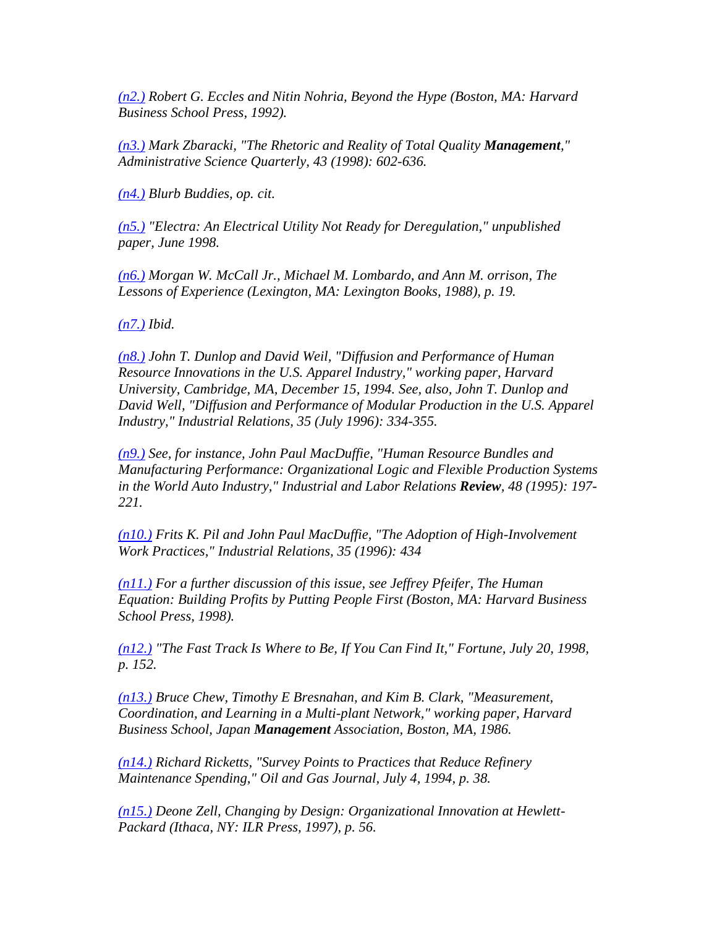*[\(n2.\)](http://164.58.125.64:2104/citation.asp?tb=1&_ug=dbs+0%2C3+ln+en%2Dus+sid+45FDCFBA%2D3B2D%2D4042%2D9690%2D662CE98758D4%40sessionmgr5+C672&_us=bs+Pfeffer+ds+Pfeffer+dstb+KS+gl+%5Fs%5F0+hd+0+hs+0+or+Date+ri+KAAACBVC00235009+sm+KS+so+b+ss+SO+5F54&cf=1&fn=1&rn=1#bib2up#bib2up) Robert G. Eccles and Nitin Nohria, Beyond the Hype (Boston, MA: Harvard Business School Press, 1992).* 

*[\(n3.\)](http://164.58.125.64:2104/citation.asp?tb=1&_ug=dbs+0%2C3+ln+en%2Dus+sid+45FDCFBA%2D3B2D%2D4042%2D9690%2D662CE98758D4%40sessionmgr5+C672&_us=bs+Pfeffer+ds+Pfeffer+dstb+KS+gl+%5Fs%5F0+hd+0+hs+0+or+Date+ri+KAAACBVC00235009+sm+KS+so+b+ss+SO+5F54&cf=1&fn=1&rn=1#bib3up#bib3up) Mark Zbaracki, "The Rhetoric and Reality of Total Quality Management," Administrative Science Quarterly, 43 (1998): 602-636.* 

*[\(n4.\)](http://164.58.125.64:2104/citation.asp?tb=1&_ug=dbs+0%2C3+ln+en%2Dus+sid+45FDCFBA%2D3B2D%2D4042%2D9690%2D662CE98758D4%40sessionmgr5+C672&_us=bs+Pfeffer+ds+Pfeffer+dstb+KS+gl+%5Fs%5F0+hd+0+hs+0+or+Date+ri+KAAACBVC00235009+sm+KS+so+b+ss+SO+5F54&cf=1&fn=1&rn=1#bib4up#bib4up) Blurb Buddies, op. cit.* 

*[\(n5.\)](http://164.58.125.64:2104/citation.asp?tb=1&_ug=dbs+0%2C3+ln+en%2Dus+sid+45FDCFBA%2D3B2D%2D4042%2D9690%2D662CE98758D4%40sessionmgr5+C672&_us=bs+Pfeffer+ds+Pfeffer+dstb+KS+gl+%5Fs%5F0+hd+0+hs+0+or+Date+ri+KAAACBVC00235009+sm+KS+so+b+ss+SO+5F54&cf=1&fn=1&rn=1#bib5up#bib5up) "Electra: An Electrical Utility Not Ready for Deregulation," unpublished paper, June 1998.* 

*[\(n6.\)](http://164.58.125.64:2104/citation.asp?tb=1&_ug=dbs+0%2C3+ln+en%2Dus+sid+45FDCFBA%2D3B2D%2D4042%2D9690%2D662CE98758D4%40sessionmgr5+C672&_us=bs+Pfeffer+ds+Pfeffer+dstb+KS+gl+%5Fs%5F0+hd+0+hs+0+or+Date+ri+KAAACBVC00235009+sm+KS+so+b+ss+SO+5F54&cf=1&fn=1&rn=1#bib6up#bib6up) Morgan W. McCall Jr., Michael M. Lombardo, and Ann M. orrison, The Lessons of Experience (Lexington, MA: Lexington Books, 1988), p. 19.* 

*[\(n7.\)](http://164.58.125.64:2104/citation.asp?tb=1&_ug=dbs+0%2C3+ln+en%2Dus+sid+45FDCFBA%2D3B2D%2D4042%2D9690%2D662CE98758D4%40sessionmgr5+C672&_us=bs+Pfeffer+ds+Pfeffer+dstb+KS+gl+%5Fs%5F0+hd+0+hs+0+or+Date+ri+KAAACBVC00235009+sm+KS+so+b+ss+SO+5F54&cf=1&fn=1&rn=1#bib7up#bib7up) Ibid.* 

*[\(n8.\)](http://164.58.125.64:2104/citation.asp?tb=1&_ug=dbs+0%2C3+ln+en%2Dus+sid+45FDCFBA%2D3B2D%2D4042%2D9690%2D662CE98758D4%40sessionmgr5+C672&_us=bs+Pfeffer+ds+Pfeffer+dstb+KS+gl+%5Fs%5F0+hd+0+hs+0+or+Date+ri+KAAACBVC00235009+sm+KS+so+b+ss+SO+5F54&cf=1&fn=1&rn=1#bib8up#bib8up) John T. Dunlop and David Weil, "Diffusion and Performance of Human Resource Innovations in the U.S. Apparel Industry," working paper, Harvard University, Cambridge, MA, December 15, 1994. See, also, John T. Dunlop and David Well, "Diffusion and Performance of Modular Production in the U.S. Apparel Industry," Industrial Relations, 35 (July 1996): 334-355.* 

*[\(n9.\)](http://164.58.125.64:2104/citation.asp?tb=1&_ug=dbs+0%2C3+ln+en%2Dus+sid+45FDCFBA%2D3B2D%2D4042%2D9690%2D662CE98758D4%40sessionmgr5+C672&_us=bs+Pfeffer+ds+Pfeffer+dstb+KS+gl+%5Fs%5F0+hd+0+hs+0+or+Date+ri+KAAACBVC00235009+sm+KS+so+b+ss+SO+5F54&cf=1&fn=1&rn=1#bib9up#bib9up) See, for instance, John Paul MacDuffie, "Human Resource Bundles and Manufacturing Performance: Organizational Logic and Flexible Production Systems in the World Auto Industry," Industrial and Labor Relations Review, 48 (1995): 197- 221.* 

*[\(n10.\)](http://164.58.125.64:2104/citation.asp?tb=1&_ug=dbs+0%2C3+ln+en%2Dus+sid+45FDCFBA%2D3B2D%2D4042%2D9690%2D662CE98758D4%40sessionmgr5+C672&_us=bs+Pfeffer+ds+Pfeffer+dstb+KS+gl+%5Fs%5F0+hd+0+hs+0+or+Date+ri+KAAACBVC00235009+sm+KS+so+b+ss+SO+5F54&cf=1&fn=1&rn=1#bib10up#bib10up) Frits K. Pil and John Paul MacDuffie, "The Adoption of High-Involvement Work Practices," Industrial Relations, 35 (1996): 434* 

*[\(n11.\)](http://164.58.125.64:2104/citation.asp?tb=1&_ug=dbs+0%2C3+ln+en%2Dus+sid+45FDCFBA%2D3B2D%2D4042%2D9690%2D662CE98758D4%40sessionmgr5+C672&_us=bs+Pfeffer+ds+Pfeffer+dstb+KS+gl+%5Fs%5F0+hd+0+hs+0+or+Date+ri+KAAACBVC00235009+sm+KS+so+b+ss+SO+5F54&cf=1&fn=1&rn=1#bib11up#bib11up) For a further discussion of this issue, see Jeffrey Pfeifer, The Human Equation: Building Profits by Putting People First (Boston, MA: Harvard Business School Press, 1998).* 

*[\(n12.\)](http://164.58.125.64:2104/citation.asp?tb=1&_ug=dbs+0%2C3+ln+en%2Dus+sid+45FDCFBA%2D3B2D%2D4042%2D9690%2D662CE98758D4%40sessionmgr5+C672&_us=bs+Pfeffer+ds+Pfeffer+dstb+KS+gl+%5Fs%5F0+hd+0+hs+0+or+Date+ri+KAAACBVC00235009+sm+KS+so+b+ss+SO+5F54&cf=1&fn=1&rn=1#bib12up#bib12up) "The Fast Track Is Where to Be, If You Can Find It," Fortune, July 20, 1998, p. 152.* 

*[\(n13.\)](http://164.58.125.64:2104/citation.asp?tb=1&_ug=dbs+0%2C3+ln+en%2Dus+sid+45FDCFBA%2D3B2D%2D4042%2D9690%2D662CE98758D4%40sessionmgr5+C672&_us=bs+Pfeffer+ds+Pfeffer+dstb+KS+gl+%5Fs%5F0+hd+0+hs+0+or+Date+ri+KAAACBVC00235009+sm+KS+so+b+ss+SO+5F54&cf=1&fn=1&rn=1#bib13up#bib13up) Bruce Chew, Timothy E Bresnahan, and Kim B. Clark, "Measurement, Coordination, and Learning in a Multi-plant Network," working paper, Harvard Business School, Japan Management Association, Boston, MA, 1986.* 

*[\(n14.\)](http://164.58.125.64:2104/citation.asp?tb=1&_ug=dbs+0%2C3+ln+en%2Dus+sid+45FDCFBA%2D3B2D%2D4042%2D9690%2D662CE98758D4%40sessionmgr5+C672&_us=bs+Pfeffer+ds+Pfeffer+dstb+KS+gl+%5Fs%5F0+hd+0+hs+0+or+Date+ri+KAAACBVC00235009+sm+KS+so+b+ss+SO+5F54&cf=1&fn=1&rn=1#bib14up#bib14up) Richard Ricketts, "Survey Points to Practices that Reduce Refinery Maintenance Spending," Oil and Gas Journal, July 4, 1994, p. 38.* 

*[\(n15.\)](http://164.58.125.64:2104/citation.asp?tb=1&_ug=dbs+0%2C3+ln+en%2Dus+sid+45FDCFBA%2D3B2D%2D4042%2D9690%2D662CE98758D4%40sessionmgr5+C672&_us=bs+Pfeffer+ds+Pfeffer+dstb+KS+gl+%5Fs%5F0+hd+0+hs+0+or+Date+ri+KAAACBVC00235009+sm+KS+so+b+ss+SO+5F54&cf=1&fn=1&rn=1#bib15up#bib15up) Deone Zell, Changing by Design: Organizational Innovation at Hewlett-Packard (Ithaca, NY: ILR Press, 1997), p. 56.*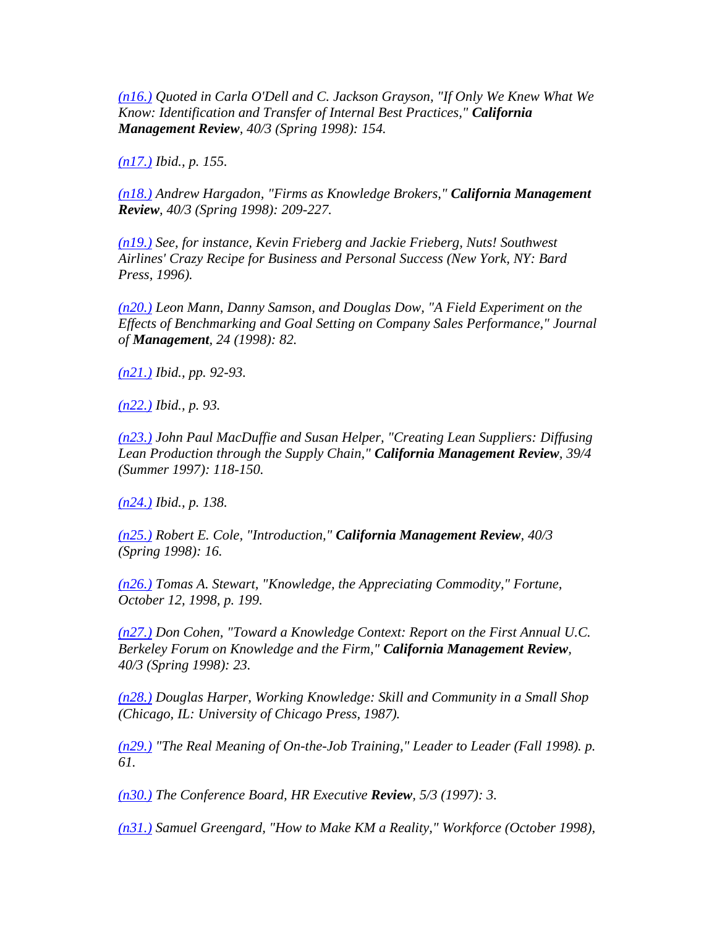*[\(n16.\)](http://164.58.125.64:2104/citation.asp?tb=1&_ug=dbs+0%2C3+ln+en%2Dus+sid+45FDCFBA%2D3B2D%2D4042%2D9690%2D662CE98758D4%40sessionmgr5+C672&_us=bs+Pfeffer+ds+Pfeffer+dstb+KS+gl+%5Fs%5F0+hd+0+hs+0+or+Date+ri+KAAACBVC00235009+sm+KS+so+b+ss+SO+5F54&cf=1&fn=1&rn=1#bib16up#bib16up) Quoted in Carla O'Dell and C. Jackson Grayson, "If Only We Knew What We Know: Identification and Transfer of Internal Best Practices," California Management Review, 40/3 (Spring 1998): 154.* 

*[\(n17.\)](http://164.58.125.64:2104/citation.asp?tb=1&_ug=dbs+0%2C3+ln+en%2Dus+sid+45FDCFBA%2D3B2D%2D4042%2D9690%2D662CE98758D4%40sessionmgr5+C672&_us=bs+Pfeffer+ds+Pfeffer+dstb+KS+gl+%5Fs%5F0+hd+0+hs+0+or+Date+ri+KAAACBVC00235009+sm+KS+so+b+ss+SO+5F54&cf=1&fn=1&rn=1#bib17up#bib17up) Ibid., p. 155.* 

*[\(n18.\)](http://164.58.125.64:2104/citation.asp?tb=1&_ug=dbs+0%2C3+ln+en%2Dus+sid+45FDCFBA%2D3B2D%2D4042%2D9690%2D662CE98758D4%40sessionmgr5+C672&_us=bs+Pfeffer+ds+Pfeffer+dstb+KS+gl+%5Fs%5F0+hd+0+hs+0+or+Date+ri+KAAACBVC00235009+sm+KS+so+b+ss+SO+5F54&cf=1&fn=1&rn=1#bib18up#bib18up) Andrew Hargadon, "Firms as Knowledge Brokers," California Management Review, 40/3 (Spring 1998): 209-227.* 

*[\(n19.\)](http://164.58.125.64:2104/citation.asp?tb=1&_ug=dbs+0%2C3+ln+en%2Dus+sid+45FDCFBA%2D3B2D%2D4042%2D9690%2D662CE98758D4%40sessionmgr5+C672&_us=bs+Pfeffer+ds+Pfeffer+dstb+KS+gl+%5Fs%5F0+hd+0+hs+0+or+Date+ri+KAAACBVC00235009+sm+KS+so+b+ss+SO+5F54&cf=1&fn=1&rn=1#bib19up#bib19up) See, for instance, Kevin Frieberg and Jackie Frieberg, Nuts! Southwest Airlines' Crazy Recipe for Business and Personal Success (New York, NY: Bard Press, 1996).* 

*[\(n20.\)](http://164.58.125.64:2104/citation.asp?tb=1&_ug=dbs+0%2C3+ln+en%2Dus+sid+45FDCFBA%2D3B2D%2D4042%2D9690%2D662CE98758D4%40sessionmgr5+C672&_us=bs+Pfeffer+ds+Pfeffer+dstb+KS+gl+%5Fs%5F0+hd+0+hs+0+or+Date+ri+KAAACBVC00235009+sm+KS+so+b+ss+SO+5F54&cf=1&fn=1&rn=1#bib20up#bib20up) Leon Mann, Danny Samson, and Douglas Dow, "A Field Experiment on the Effects of Benchmarking and Goal Setting on Company Sales Performance," Journal of Management, 24 (1998): 82.* 

*[\(n21.\)](http://164.58.125.64:2104/citation.asp?tb=1&_ug=dbs+0%2C3+ln+en%2Dus+sid+45FDCFBA%2D3B2D%2D4042%2D9690%2D662CE98758D4%40sessionmgr5+C672&_us=bs+Pfeffer+ds+Pfeffer+dstb+KS+gl+%5Fs%5F0+hd+0+hs+0+or+Date+ri+KAAACBVC00235009+sm+KS+so+b+ss+SO+5F54&cf=1&fn=1&rn=1#bib21up#bib21up) Ibid., pp. 92-93.* 

*[\(n22.\)](http://164.58.125.64:2104/citation.asp?tb=1&_ug=dbs+0%2C3+ln+en%2Dus+sid+45FDCFBA%2D3B2D%2D4042%2D9690%2D662CE98758D4%40sessionmgr5+C672&_us=bs+Pfeffer+ds+Pfeffer+dstb+KS+gl+%5Fs%5F0+hd+0+hs+0+or+Date+ri+KAAACBVC00235009+sm+KS+so+b+ss+SO+5F54&cf=1&fn=1&rn=1#bib22up#bib22up) Ibid., p. 93.* 

*[\(n23.\)](http://164.58.125.64:2104/citation.asp?tb=1&_ug=dbs+0%2C3+ln+en%2Dus+sid+45FDCFBA%2D3B2D%2D4042%2D9690%2D662CE98758D4%40sessionmgr5+C672&_us=bs+Pfeffer+ds+Pfeffer+dstb+KS+gl+%5Fs%5F0+hd+0+hs+0+or+Date+ri+KAAACBVC00235009+sm+KS+so+b+ss+SO+5F54&cf=1&fn=1&rn=1#bib23up#bib23up) John Paul MacDuffie and Susan Helper, "Creating Lean Suppliers: Diffusing Lean Production through the Supply Chain," California Management Review, 39/4 (Summer 1997): 118-150.* 

*[\(n24.\)](http://164.58.125.64:2104/citation.asp?tb=1&_ug=dbs+0%2C3+ln+en%2Dus+sid+45FDCFBA%2D3B2D%2D4042%2D9690%2D662CE98758D4%40sessionmgr5+C672&_us=bs+Pfeffer+ds+Pfeffer+dstb+KS+gl+%5Fs%5F0+hd+0+hs+0+or+Date+ri+KAAACBVC00235009+sm+KS+so+b+ss+SO+5F54&cf=1&fn=1&rn=1#bib24up#bib24up) Ibid., p. 138.* 

*[\(n25.\)](http://164.58.125.64:2104/citation.asp?tb=1&_ug=dbs+0%2C3+ln+en%2Dus+sid+45FDCFBA%2D3B2D%2D4042%2D9690%2D662CE98758D4%40sessionmgr5+C672&_us=bs+Pfeffer+ds+Pfeffer+dstb+KS+gl+%5Fs%5F0+hd+0+hs+0+or+Date+ri+KAAACBVC00235009+sm+KS+so+b+ss+SO+5F54&cf=1&fn=1&rn=1#bib25up#bib25up) Robert E. Cole, "Introduction," California Management Review, 40/3 (Spring 1998): 16.* 

*[\(n26.\)](http://164.58.125.64:2104/citation.asp?tb=1&_ug=dbs+0%2C3+ln+en%2Dus+sid+45FDCFBA%2D3B2D%2D4042%2D9690%2D662CE98758D4%40sessionmgr5+C672&_us=bs+Pfeffer+ds+Pfeffer+dstb+KS+gl+%5Fs%5F0+hd+0+hs+0+or+Date+ri+KAAACBVC00235009+sm+KS+so+b+ss+SO+5F54&cf=1&fn=1&rn=1#bib26up#bib26up) Tomas A. Stewart, "Knowledge, the Appreciating Commodity," Fortune, October 12, 1998, p. 199.* 

*[\(n27.\)](http://164.58.125.64:2104/citation.asp?tb=1&_ug=dbs+0%2C3+ln+en%2Dus+sid+45FDCFBA%2D3B2D%2D4042%2D9690%2D662CE98758D4%40sessionmgr5+C672&_us=bs+Pfeffer+ds+Pfeffer+dstb+KS+gl+%5Fs%5F0+hd+0+hs+0+or+Date+ri+KAAACBVC00235009+sm+KS+so+b+ss+SO+5F54&cf=1&fn=1&rn=1#bib27up#bib27up) Don Cohen, "Toward a Knowledge Context: Report on the First Annual U.C. Berkeley Forum on Knowledge and the Firm," California Management Review, 40/3 (Spring 1998): 23.* 

*[\(n28.\)](http://164.58.125.64:2104/citation.asp?tb=1&_ug=dbs+0%2C3+ln+en%2Dus+sid+45FDCFBA%2D3B2D%2D4042%2D9690%2D662CE98758D4%40sessionmgr5+C672&_us=bs+Pfeffer+ds+Pfeffer+dstb+KS+gl+%5Fs%5F0+hd+0+hs+0+or+Date+ri+KAAACBVC00235009+sm+KS+so+b+ss+SO+5F54&cf=1&fn=1&rn=1#bib28up#bib28up) Douglas Harper, Working Knowledge: Skill and Community in a Small Shop (Chicago, IL: University of Chicago Press, 1987).* 

*[\(n29.\)](http://164.58.125.64:2104/citation.asp?tb=1&_ug=dbs+0%2C3+ln+en%2Dus+sid+45FDCFBA%2D3B2D%2D4042%2D9690%2D662CE98758D4%40sessionmgr5+C672&_us=bs+Pfeffer+ds+Pfeffer+dstb+KS+gl+%5Fs%5F0+hd+0+hs+0+or+Date+ri+KAAACBVC00235009+sm+KS+so+b+ss+SO+5F54&cf=1&fn=1&rn=1#bib29up#bib29up) "The Real Meaning of On-the-Job Training," Leader to Leader (Fall 1998). p. 61.* 

*[\(n30.\)](http://164.58.125.64:2104/citation.asp?tb=1&_ug=dbs+0%2C3+ln+en%2Dus+sid+45FDCFBA%2D3B2D%2D4042%2D9690%2D662CE98758D4%40sessionmgr5+C672&_us=bs+Pfeffer+ds+Pfeffer+dstb+KS+gl+%5Fs%5F0+hd+0+hs+0+or+Date+ri+KAAACBVC00235009+sm+KS+so+b+ss+SO+5F54&cf=1&fn=1&rn=1#bib30up#bib30up) The Conference Board, HR Executive Review, 5/3 (1997): 3.* 

*[\(n31.\)](http://164.58.125.64:2104/citation.asp?tb=1&_ug=dbs+0%2C3+ln+en%2Dus+sid+45FDCFBA%2D3B2D%2D4042%2D9690%2D662CE98758D4%40sessionmgr5+C672&_us=bs+Pfeffer+ds+Pfeffer+dstb+KS+gl+%5Fs%5F0+hd+0+hs+0+or+Date+ri+KAAACBVC00235009+sm+KS+so+b+ss+SO+5F54&cf=1&fn=1&rn=1#bib31up#bib31up) Samuel Greengard, "How to Make KM a Reality," Workforce (October 1998),*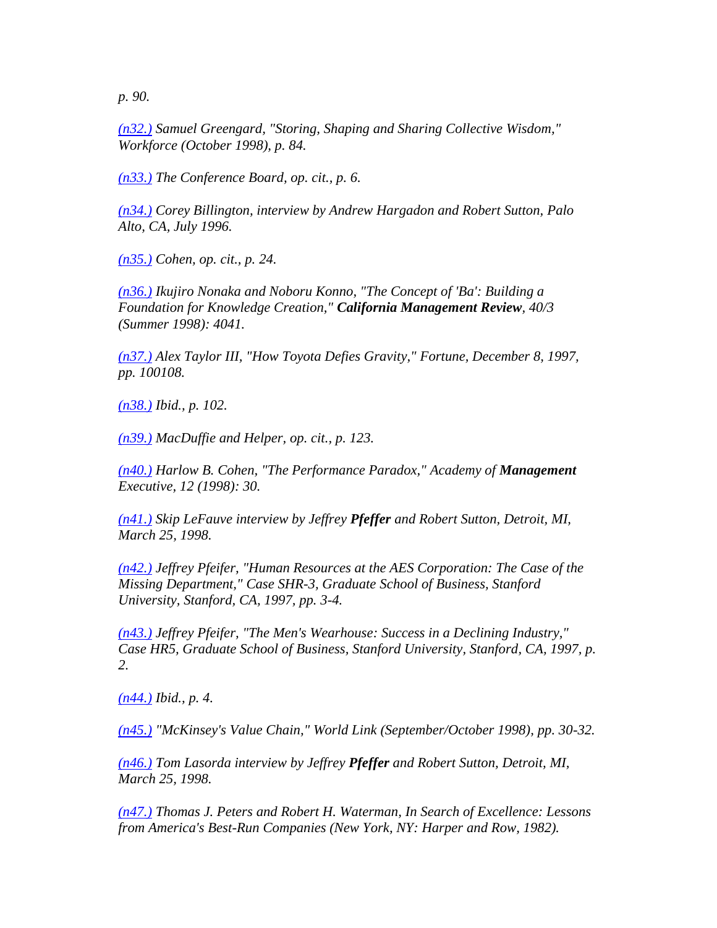*p. 90.* 

*[\(n32.\)](http://164.58.125.64:2104/citation.asp?tb=1&_ug=dbs+0%2C3+ln+en%2Dus+sid+45FDCFBA%2D3B2D%2D4042%2D9690%2D662CE98758D4%40sessionmgr5+C672&_us=bs+Pfeffer+ds+Pfeffer+dstb+KS+gl+%5Fs%5F0+hd+0+hs+0+or+Date+ri+KAAACBVC00235009+sm+KS+so+b+ss+SO+5F54&cf=1&fn=1&rn=1#bib32up#bib32up) Samuel Greengard, "Storing, Shaping and Sharing Collective Wisdom," Workforce (October 1998), p. 84.* 

*[\(n33.\)](http://164.58.125.64:2104/citation.asp?tb=1&_ug=dbs+0%2C3+ln+en%2Dus+sid+45FDCFBA%2D3B2D%2D4042%2D9690%2D662CE98758D4%40sessionmgr5+C672&_us=bs+Pfeffer+ds+Pfeffer+dstb+KS+gl+%5Fs%5F0+hd+0+hs+0+or+Date+ri+KAAACBVC00235009+sm+KS+so+b+ss+SO+5F54&cf=1&fn=1&rn=1#bib33up#bib33up) The Conference Board, op. cit., p. 6.* 

*[\(n34.\)](http://164.58.125.64:2104/citation.asp?tb=1&_ug=dbs+0%2C3+ln+en%2Dus+sid+45FDCFBA%2D3B2D%2D4042%2D9690%2D662CE98758D4%40sessionmgr5+C672&_us=bs+Pfeffer+ds+Pfeffer+dstb+KS+gl+%5Fs%5F0+hd+0+hs+0+or+Date+ri+KAAACBVC00235009+sm+KS+so+b+ss+SO+5F54&cf=1&fn=1&rn=1#bib34up#bib34up) Corey Billington, interview by Andrew Hargadon and Robert Sutton, Palo Alto, CA, July 1996.* 

*[\(n35.\)](http://164.58.125.64:2104/citation.asp?tb=1&_ug=dbs+0%2C3+ln+en%2Dus+sid+45FDCFBA%2D3B2D%2D4042%2D9690%2D662CE98758D4%40sessionmgr5+C672&_us=bs+Pfeffer+ds+Pfeffer+dstb+KS+gl+%5Fs%5F0+hd+0+hs+0+or+Date+ri+KAAACBVC00235009+sm+KS+so+b+ss+SO+5F54&cf=1&fn=1&rn=1#bib35up#bib35up) Cohen, op. cit., p. 24.* 

*[\(n36.\)](http://164.58.125.64:2104/citation.asp?tb=1&_ug=dbs+0%2C3+ln+en%2Dus+sid+45FDCFBA%2D3B2D%2D4042%2D9690%2D662CE98758D4%40sessionmgr5+C672&_us=bs+Pfeffer+ds+Pfeffer+dstb+KS+gl+%5Fs%5F0+hd+0+hs+0+or+Date+ri+KAAACBVC00235009+sm+KS+so+b+ss+SO+5F54&cf=1&fn=1&rn=1#bib36up#bib36up) Ikujiro Nonaka and Noboru Konno, "The Concept of 'Ba': Building a Foundation for Knowledge Creation," California Management Review, 40/3 (Summer 1998): 4041.* 

*[\(n37.\)](http://164.58.125.64:2104/citation.asp?tb=1&_ug=dbs+0%2C3+ln+en%2Dus+sid+45FDCFBA%2D3B2D%2D4042%2D9690%2D662CE98758D4%40sessionmgr5+C672&_us=bs+Pfeffer+ds+Pfeffer+dstb+KS+gl+%5Fs%5F0+hd+0+hs+0+or+Date+ri+KAAACBVC00235009+sm+KS+so+b+ss+SO+5F54&cf=1&fn=1&rn=1#bib37up#bib37up) Alex Taylor III, "How Toyota Defies Gravity," Fortune, December 8, 1997, pp. 100108.* 

*[\(n38.\)](http://164.58.125.64:2104/citation.asp?tb=1&_ug=dbs+0%2C3+ln+en%2Dus+sid+45FDCFBA%2D3B2D%2D4042%2D9690%2D662CE98758D4%40sessionmgr5+C672&_us=bs+Pfeffer+ds+Pfeffer+dstb+KS+gl+%5Fs%5F0+hd+0+hs+0+or+Date+ri+KAAACBVC00235009+sm+KS+so+b+ss+SO+5F54&cf=1&fn=1&rn=1#bib38up#bib38up) Ibid., p. 102.* 

*[\(n39.\)](http://164.58.125.64:2104/citation.asp?tb=1&_ug=dbs+0%2C3+ln+en%2Dus+sid+45FDCFBA%2D3B2D%2D4042%2D9690%2D662CE98758D4%40sessionmgr5+C672&_us=bs+Pfeffer+ds+Pfeffer+dstb+KS+gl+%5Fs%5F0+hd+0+hs+0+or+Date+ri+KAAACBVC00235009+sm+KS+so+b+ss+SO+5F54&cf=1&fn=1&rn=1#bib39up#bib39up) MacDuffie and Helper, op. cit., p. 123.* 

*[\(n40.\)](http://164.58.125.64:2104/citation.asp?tb=1&_ug=dbs+0%2C3+ln+en%2Dus+sid+45FDCFBA%2D3B2D%2D4042%2D9690%2D662CE98758D4%40sessionmgr5+C672&_us=bs+Pfeffer+ds+Pfeffer+dstb+KS+gl+%5Fs%5F0+hd+0+hs+0+or+Date+ri+KAAACBVC00235009+sm+KS+so+b+ss+SO+5F54&cf=1&fn=1&rn=1#bib40up#bib40up) Harlow B. Cohen, "The Performance Paradox," Academy of Management Executive, 12 (1998): 30.* 

*[\(n41.\)](http://164.58.125.64:2104/citation.asp?tb=1&_ug=dbs+0%2C3+ln+en%2Dus+sid+45FDCFBA%2D3B2D%2D4042%2D9690%2D662CE98758D4%40sessionmgr5+C672&_us=bs+Pfeffer+ds+Pfeffer+dstb+KS+gl+%5Fs%5F0+hd+0+hs+0+or+Date+ri+KAAACBVC00235009+sm+KS+so+b+ss+SO+5F54&cf=1&fn=1&rn=1#bib41up#bib41up) Skip LeFauve interview by Jeffrey Pfeffer and Robert Sutton, Detroit, MI, March 25, 1998.* 

*[\(n42.\)](http://164.58.125.64:2104/citation.asp?tb=1&_ug=dbs+0%2C3+ln+en%2Dus+sid+45FDCFBA%2D3B2D%2D4042%2D9690%2D662CE98758D4%40sessionmgr5+C672&_us=bs+Pfeffer+ds+Pfeffer+dstb+KS+gl+%5Fs%5F0+hd+0+hs+0+or+Date+ri+KAAACBVC00235009+sm+KS+so+b+ss+SO+5F54&cf=1&fn=1&rn=1#bib42up#bib42up) Jeffrey Pfeifer, "Human Resources at the AES Corporation: The Case of the Missing Department," Case SHR-3, Graduate School of Business, Stanford University, Stanford, CA, 1997, pp. 3-4.* 

*[\(n43.\)](http://164.58.125.64:2104/citation.asp?tb=1&_ug=dbs+0%2C3+ln+en%2Dus+sid+45FDCFBA%2D3B2D%2D4042%2D9690%2D662CE98758D4%40sessionmgr5+C672&_us=bs+Pfeffer+ds+Pfeffer+dstb+KS+gl+%5Fs%5F0+hd+0+hs+0+or+Date+ri+KAAACBVC00235009+sm+KS+so+b+ss+SO+5F54&cf=1&fn=1&rn=1#bib43up#bib43up) Jeffrey Pfeifer, "The Men's Wearhouse: Success in a Declining Industry," Case HR5, Graduate School of Business, Stanford University, Stanford, CA, 1997, p. 2.* 

*[\(n44.\)](http://164.58.125.64:2104/citation.asp?tb=1&_ug=dbs+0%2C3+ln+en%2Dus+sid+45FDCFBA%2D3B2D%2D4042%2D9690%2D662CE98758D4%40sessionmgr5+C672&_us=bs+Pfeffer+ds+Pfeffer+dstb+KS+gl+%5Fs%5F0+hd+0+hs+0+or+Date+ri+KAAACBVC00235009+sm+KS+so+b+ss+SO+5F54&cf=1&fn=1&rn=1#bib44up#bib44up) Ibid., p. 4.* 

*[\(n45.\)](http://164.58.125.64:2104/citation.asp?tb=1&_ug=dbs+0%2C3+ln+en%2Dus+sid+45FDCFBA%2D3B2D%2D4042%2D9690%2D662CE98758D4%40sessionmgr5+C672&_us=bs+Pfeffer+ds+Pfeffer+dstb+KS+gl+%5Fs%5F0+hd+0+hs+0+or+Date+ri+KAAACBVC00235009+sm+KS+so+b+ss+SO+5F54&cf=1&fn=1&rn=1#bib45up#bib45up) "McKinsey's Value Chain," World Link (September/October 1998), pp. 30-32.* 

*[\(n46.\)](http://164.58.125.64:2104/citation.asp?tb=1&_ug=dbs+0%2C3+ln+en%2Dus+sid+45FDCFBA%2D3B2D%2D4042%2D9690%2D662CE98758D4%40sessionmgr5+C672&_us=bs+Pfeffer+ds+Pfeffer+dstb+KS+gl+%5Fs%5F0+hd+0+hs+0+or+Date+ri+KAAACBVC00235009+sm+KS+so+b+ss+SO+5F54&cf=1&fn=1&rn=1#bib46up#bib46up) Tom Lasorda interview by Jeffrey Pfeffer and Robert Sutton, Detroit, MI, March 25, 1998.* 

*[\(n47.\)](http://164.58.125.64:2104/citation.asp?tb=1&_ug=dbs+0%2C3+ln+en%2Dus+sid+45FDCFBA%2D3B2D%2D4042%2D9690%2D662CE98758D4%40sessionmgr5+C672&_us=bs+Pfeffer+ds+Pfeffer+dstb+KS+gl+%5Fs%5F0+hd+0+hs+0+or+Date+ri+KAAACBVC00235009+sm+KS+so+b+ss+SO+5F54&cf=1&fn=1&rn=1#bib47up#bib47up) Thomas J. Peters and Robert H. Waterman, In Search of Excellence: Lessons from America's Best-Run Companies (New York, NY: Harper and Row, 1982).*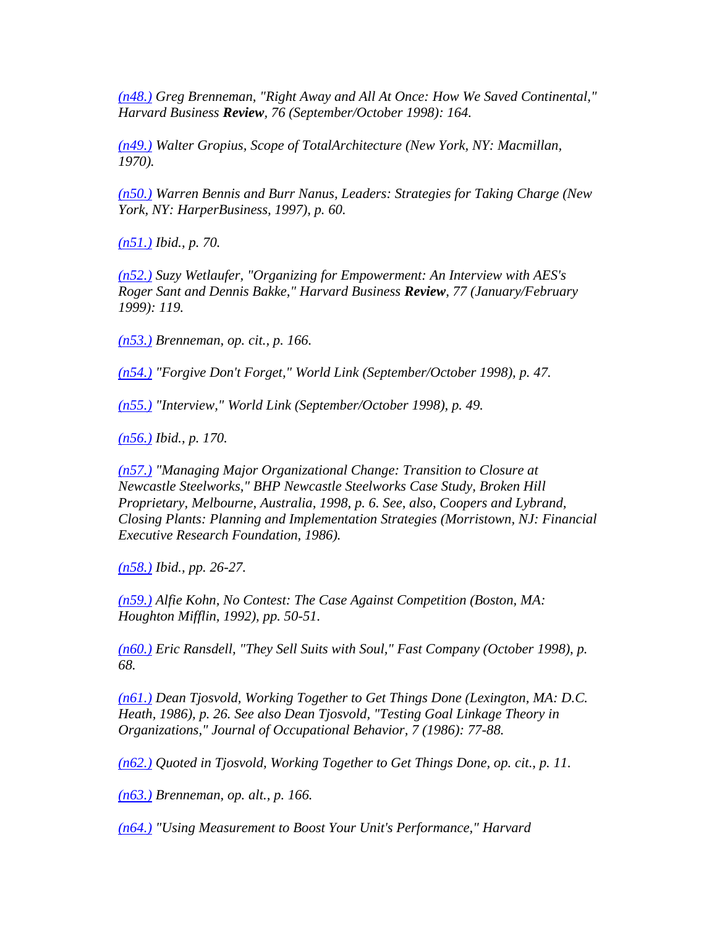*[\(n48.\)](http://164.58.125.64:2104/citation.asp?tb=1&_ug=dbs+0%2C3+ln+en%2Dus+sid+45FDCFBA%2D3B2D%2D4042%2D9690%2D662CE98758D4%40sessionmgr5+C672&_us=bs+Pfeffer+ds+Pfeffer+dstb+KS+gl+%5Fs%5F0+hd+0+hs+0+or+Date+ri+KAAACBVC00235009+sm+KS+so+b+ss+SO+5F54&cf=1&fn=1&rn=1#bib48up#bib48up) Greg Brenneman, "Right Away and All At Once: How We Saved Continental," Harvard Business Review, 76 (September/October 1998): 164.* 

*[\(n49.\)](http://164.58.125.64:2104/citation.asp?tb=1&_ug=dbs+0%2C3+ln+en%2Dus+sid+45FDCFBA%2D3B2D%2D4042%2D9690%2D662CE98758D4%40sessionmgr5+C672&_us=bs+Pfeffer+ds+Pfeffer+dstb+KS+gl+%5Fs%5F0+hd+0+hs+0+or+Date+ri+KAAACBVC00235009+sm+KS+so+b+ss+SO+5F54&cf=1&fn=1&rn=1#bib49up#bib49up) Walter Gropius, Scope of TotalArchitecture (New York, NY: Macmillan, 1970).* 

*[\(n50.\)](http://164.58.125.64:2104/citation.asp?tb=1&_ug=dbs+0%2C3+ln+en%2Dus+sid+45FDCFBA%2D3B2D%2D4042%2D9690%2D662CE98758D4%40sessionmgr5+C672&_us=bs+Pfeffer+ds+Pfeffer+dstb+KS+gl+%5Fs%5F0+hd+0+hs+0+or+Date+ri+KAAACBVC00235009+sm+KS+so+b+ss+SO+5F54&cf=1&fn=1&rn=1#bib50up#bib50up) Warren Bennis and Burr Nanus, Leaders: Strategies for Taking Charge (New York, NY: HarperBusiness, 1997), p. 60.* 

*[\(n51.\)](http://164.58.125.64:2104/citation.asp?tb=1&_ug=dbs+0%2C3+ln+en%2Dus+sid+45FDCFBA%2D3B2D%2D4042%2D9690%2D662CE98758D4%40sessionmgr5+C672&_us=bs+Pfeffer+ds+Pfeffer+dstb+KS+gl+%5Fs%5F0+hd+0+hs+0+or+Date+ri+KAAACBVC00235009+sm+KS+so+b+ss+SO+5F54&cf=1&fn=1&rn=1#bib51up#bib51up) Ibid., p. 70.* 

*[\(n52.\)](http://164.58.125.64:2104/citation.asp?tb=1&_ug=dbs+0%2C3+ln+en%2Dus+sid+45FDCFBA%2D3B2D%2D4042%2D9690%2D662CE98758D4%40sessionmgr5+C672&_us=bs+Pfeffer+ds+Pfeffer+dstb+KS+gl+%5Fs%5F0+hd+0+hs+0+or+Date+ri+KAAACBVC00235009+sm+KS+so+b+ss+SO+5F54&cf=1&fn=1&rn=1#bib52up#bib52up) Suzy Wetlaufer, "Organizing for Empowerment: An Interview with AES's Roger Sant and Dennis Bakke," Harvard Business Review, 77 (January/February 1999): 119.* 

*[\(n53.\)](http://164.58.125.64:2104/citation.asp?tb=1&_ug=dbs+0%2C3+ln+en%2Dus+sid+45FDCFBA%2D3B2D%2D4042%2D9690%2D662CE98758D4%40sessionmgr5+C672&_us=bs+Pfeffer+ds+Pfeffer+dstb+KS+gl+%5Fs%5F0+hd+0+hs+0+or+Date+ri+KAAACBVC00235009+sm+KS+so+b+ss+SO+5F54&cf=1&fn=1&rn=1#bib53up#bib53up) Brenneman, op. cit., p. 166.* 

*[\(n54.\)](http://164.58.125.64:2104/citation.asp?tb=1&_ug=dbs+0%2C3+ln+en%2Dus+sid+45FDCFBA%2D3B2D%2D4042%2D9690%2D662CE98758D4%40sessionmgr5+C672&_us=bs+Pfeffer+ds+Pfeffer+dstb+KS+gl+%5Fs%5F0+hd+0+hs+0+or+Date+ri+KAAACBVC00235009+sm+KS+so+b+ss+SO+5F54&cf=1&fn=1&rn=1#bib54up#bib54up) "Forgive Don't Forget," World Link (September/October 1998), p. 47.* 

*[\(n55.\)](http://164.58.125.64:2104/citation.asp?tb=1&_ug=dbs+0%2C3+ln+en%2Dus+sid+45FDCFBA%2D3B2D%2D4042%2D9690%2D662CE98758D4%40sessionmgr5+C672&_us=bs+Pfeffer+ds+Pfeffer+dstb+KS+gl+%5Fs%5F0+hd+0+hs+0+or+Date+ri+KAAACBVC00235009+sm+KS+so+b+ss+SO+5F54&cf=1&fn=1&rn=1#bib55up#bib55up) "Interview," World Link (September/October 1998), p. 49.* 

*[\(n56.\)](http://164.58.125.64:2104/citation.asp?tb=1&_ug=dbs+0%2C3+ln+en%2Dus+sid+45FDCFBA%2D3B2D%2D4042%2D9690%2D662CE98758D4%40sessionmgr5+C672&_us=bs+Pfeffer+ds+Pfeffer+dstb+KS+gl+%5Fs%5F0+hd+0+hs+0+or+Date+ri+KAAACBVC00235009+sm+KS+so+b+ss+SO+5F54&cf=1&fn=1&rn=1#bib56up#bib56up) Ibid., p. 170.* 

*[\(n57.\)](http://164.58.125.64:2104/citation.asp?tb=1&_ug=dbs+0%2C3+ln+en%2Dus+sid+45FDCFBA%2D3B2D%2D4042%2D9690%2D662CE98758D4%40sessionmgr5+C672&_us=bs+Pfeffer+ds+Pfeffer+dstb+KS+gl+%5Fs%5F0+hd+0+hs+0+or+Date+ri+KAAACBVC00235009+sm+KS+so+b+ss+SO+5F54&cf=1&fn=1&rn=1#bib57up#bib57up) "Managing Major Organizational Change: Transition to Closure at Newcastle Steelworks," BHP Newcastle Steelworks Case Study, Broken Hill Proprietary, Melbourne, Australia, 1998, p. 6. See, also, Coopers and Lybrand, Closing Plants: Planning and Implementation Strategies (Morristown, NJ: Financial Executive Research Foundation, 1986).* 

*[\(n58.\)](http://164.58.125.64:2104/citation.asp?tb=1&_ug=dbs+0%2C3+ln+en%2Dus+sid+45FDCFBA%2D3B2D%2D4042%2D9690%2D662CE98758D4%40sessionmgr5+C672&_us=bs+Pfeffer+ds+Pfeffer+dstb+KS+gl+%5Fs%5F0+hd+0+hs+0+or+Date+ri+KAAACBVC00235009+sm+KS+so+b+ss+SO+5F54&cf=1&fn=1&rn=1#bib58up#bib58up) Ibid., pp. 26-27.* 

*[\(n59.\)](http://164.58.125.64:2104/citation.asp?tb=1&_ug=dbs+0%2C3+ln+en%2Dus+sid+45FDCFBA%2D3B2D%2D4042%2D9690%2D662CE98758D4%40sessionmgr5+C672&_us=bs+Pfeffer+ds+Pfeffer+dstb+KS+gl+%5Fs%5F0+hd+0+hs+0+or+Date+ri+KAAACBVC00235009+sm+KS+so+b+ss+SO+5F54&cf=1&fn=1&rn=1#bib59up#bib59up) Alfie Kohn, No Contest: The Case Against Competition (Boston, MA: Houghton Mifflin, 1992), pp. 50-51.* 

*[\(n60.\)](http://164.58.125.64:2104/citation.asp?tb=1&_ug=dbs+0%2C3+ln+en%2Dus+sid+45FDCFBA%2D3B2D%2D4042%2D9690%2D662CE98758D4%40sessionmgr5+C672&_us=bs+Pfeffer+ds+Pfeffer+dstb+KS+gl+%5Fs%5F0+hd+0+hs+0+or+Date+ri+KAAACBVC00235009+sm+KS+so+b+ss+SO+5F54&cf=1&fn=1&rn=1#bib60up#bib60up) Eric Ransdell, "They Sell Suits with Soul," Fast Company (October 1998), p. 68.* 

*[\(n61.\)](http://164.58.125.64:2104/citation.asp?tb=1&_ug=dbs+0%2C3+ln+en%2Dus+sid+45FDCFBA%2D3B2D%2D4042%2D9690%2D662CE98758D4%40sessionmgr5+C672&_us=bs+Pfeffer+ds+Pfeffer+dstb+KS+gl+%5Fs%5F0+hd+0+hs+0+or+Date+ri+KAAACBVC00235009+sm+KS+so+b+ss+SO+5F54&cf=1&fn=1&rn=1#bib61up#bib61up) Dean Tjosvold, Working Together to Get Things Done (Lexington, MA: D.C. Heath, 1986), p. 26. See also Dean Tjosvold, "Testing Goal Linkage Theory in Organizations," Journal of Occupational Behavior, 7 (1986): 77-88.* 

*[\(n62.\)](http://164.58.125.64:2104/citation.asp?tb=1&_ug=dbs+0%2C3+ln+en%2Dus+sid+45FDCFBA%2D3B2D%2D4042%2D9690%2D662CE98758D4%40sessionmgr5+C672&_us=bs+Pfeffer+ds+Pfeffer+dstb+KS+gl+%5Fs%5F0+hd+0+hs+0+or+Date+ri+KAAACBVC00235009+sm+KS+so+b+ss+SO+5F54&cf=1&fn=1&rn=1#bib62up#bib62up) Quoted in Tjosvold, Working Together to Get Things Done, op. cit., p. 11.* 

*[\(n63.\)](http://164.58.125.64:2104/citation.asp?tb=1&_ug=dbs+0%2C3+ln+en%2Dus+sid+45FDCFBA%2D3B2D%2D4042%2D9690%2D662CE98758D4%40sessionmgr5+C672&_us=bs+Pfeffer+ds+Pfeffer+dstb+KS+gl+%5Fs%5F0+hd+0+hs+0+or+Date+ri+KAAACBVC00235009+sm+KS+so+b+ss+SO+5F54&cf=1&fn=1&rn=1#bib63up#bib63up) Brenneman, op. alt., p. 166.* 

*[\(n64.\)](http://164.58.125.64:2104/citation.asp?tb=1&_ug=dbs+0%2C3+ln+en%2Dus+sid+45FDCFBA%2D3B2D%2D4042%2D9690%2D662CE98758D4%40sessionmgr5+C672&_us=bs+Pfeffer+ds+Pfeffer+dstb+KS+gl+%5Fs%5F0+hd+0+hs+0+or+Date+ri+KAAACBVC00235009+sm+KS+so+b+ss+SO+5F54&cf=1&fn=1&rn=1#bib64up#bib64up) "Using Measurement to Boost Your Unit's Performance," Harvard*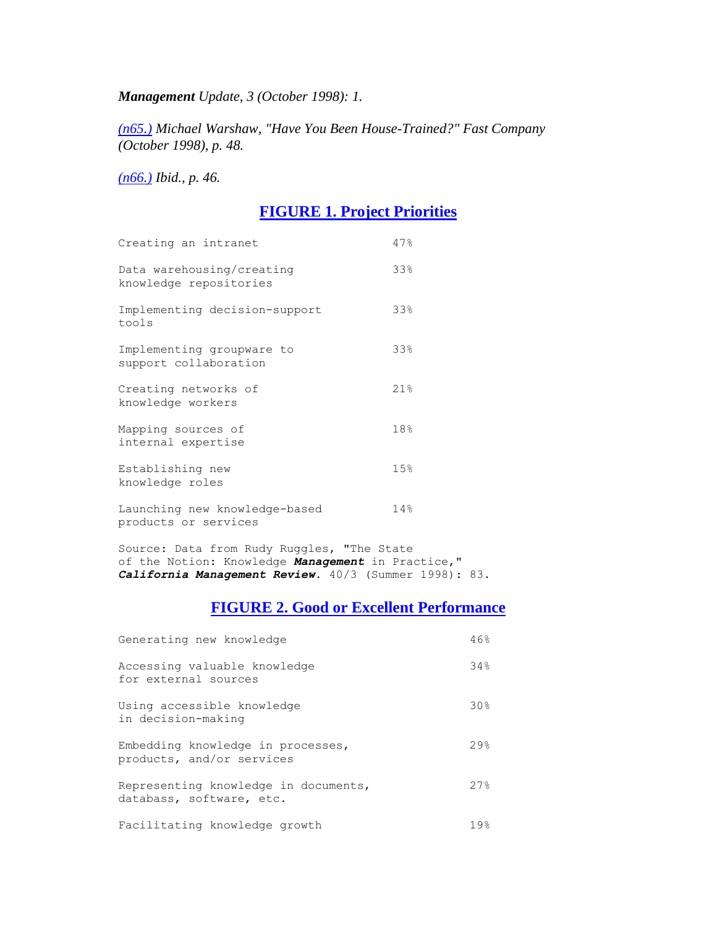#### *Management Update, 3 (October 1998): 1.*

*[\(n65.\)](http://164.58.125.64:2104/citation.asp?tb=1&_ug=dbs+0%2C3+ln+en%2Dus+sid+45FDCFBA%2D3B2D%2D4042%2D9690%2D662CE98758D4%40sessionmgr5+C672&_us=bs+Pfeffer+ds+Pfeffer+dstb+KS+gl+%5Fs%5F0+hd+0+hs+0+or+Date+ri+KAAACBVC00235009+sm+KS+so+b+ss+SO+5F54&cf=1&fn=1&rn=1#bib65up#bib65up) Michael Warshaw, "Have You Been House-Trained?" Fast Company (October 1998), p. 48.* 

*[\(n66.\)](http://164.58.125.64:2104/citation.asp?tb=1&_ug=dbs+0%2C3+ln+en%2Dus+sid+45FDCFBA%2D3B2D%2D4042%2D9690%2D662CE98758D4%40sessionmgr5+C672&_us=bs+Pfeffer+ds+Pfeffer+dstb+KS+gl+%5Fs%5F0+hd+0+hs+0+or+Date+ri+KAAACBVC00235009+sm+KS+so+b+ss+SO+5F54&cf=1&fn=1&rn=1#bib66up#bib66up) Ibid., p. 46.* 

| <b>FIGURE 1. Project Priorities</b> |
|-------------------------------------|
|-------------------------------------|

| Creating an intranet                                  | 47% |
|-------------------------------------------------------|-----|
| Data warehousing/creating<br>knowledge repositories   | 33% |
| Implementing decision-support<br>tools                | 33% |
| Implementing groupware to<br>support collaboration    | 33% |
| Creating networks of<br>knowledge workers             | 21% |
| Mapping sources of<br>internal expertise              | 18% |
| Establishing new<br>knowledge roles                   | 15% |
| Launching new knowledge-based<br>products or services | 14% |

Source: Data from Rudy Ruggles, "The State of the Notion: Knowledge *Management* in Practice," *California Management Review*. 40/3 (Summer 1998): 83.

# **[FIGURE 2. Good or Excellent Performance](http://164.58.125.64:2104/citation.asp?tb=1&_ug=dbs+0%2C3+ln+en%2Dus+sid+45FDCFBA%2D3B2D%2D4042%2D9690%2D662CE98758D4%40sessionmgr5+C672&_us=bs+Pfeffer+ds+Pfeffer+dstb+KS+gl+%5Fs%5F0+hd+0+hs+0+or+Date+ri+KAAACBVC00235009+sm+KS+so+b+ss+SO+5F54&cf=1&fn=1&rn=1#toc#toc)**

| Generating new knowledge                                         | 46%             |
|------------------------------------------------------------------|-----------------|
| Accessing valuable knowledge<br>for external sources             | 34%             |
| Using accessible knowledge<br>in decision-making                 | 30 <sub>8</sub> |
| Embedding knowledge in processes,<br>products, and/or services   | 29%             |
| Representing knowledge in documents,<br>databass, software, etc. | 27%             |
| Facilitating knowledge growth                                    | 19%             |